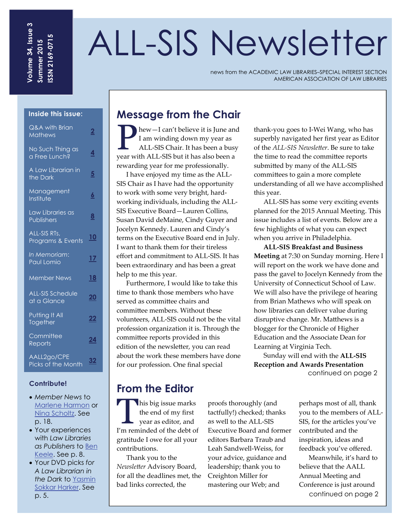# ALL-SIS Newsletter

news from the ACADEMIC LAW LIBRARIES–SPECIAL INTEREST SECTION AMERICAN ASSOCIATION OF LAW LIBRARIES

#### **Inside this issue:**

| Q&A with Brian<br><b>Mathews</b>       | $\overline{\mathbf{2}}$ |
|----------------------------------------|-------------------------|
| No Such Thing as<br>a Free Lunch?      | <u>4</u>                |
| A Law Librarian in<br>the Dark         | $\overline{5}$          |
| Management<br>Institute                | <u> 6</u>               |
| Law Libraries as<br><b>Publishers</b>  | 8                       |
| ALL-SIS RTs,<br>Programs & Events      | <u> 10</u>              |
| In Memoriam:<br>Paul Lomio             | <u>17</u>               |
| <b>Member News</b>                     | <u> 18</u>              |
| <b>ALL-SIS Schedule</b><br>at a Glance | 20                      |
| Putting It_All<br>Together             | <u>22</u>               |
| Committee<br>Reports                   | <u>24</u>               |
| AALL2go/CPE<br>Picks of the Month      | <u>32</u>               |

#### **Contribute!**

- *Member News* to [Marlene Harmon](mailto:mharmon@law.berkeley.edu?subject=Member%20News) or [Nina Scholtz.](mailto:nes78@cornell.edu?subject=Member%20News) See p. 18.
- Your experiences with *Law Libraries as Publishers* to [Ben](mailto:bkeele@indiana.edu?subject=Collaborative%20Law%20Librarian)  [Keele.](mailto:bkeele@indiana.edu?subject=Collaborative%20Law%20Librarian) See p. 8.
- Your DVD picks *for A Law Librarian in the Dark* to [Yasmin](mailto:yasmin.harker@mail.law.cuny.edu)  [Sokkar Harker](mailto:yasmin.harker@mail.law.cuny.edu). See p. 5.

# **Message from the Chair**

P hew—I can't believe it is June and<br>
I am winding down my year as<br>
ALL-SIS Chair. It has been a busy I am winding down my year as year with ALL‐SIS but it has also been a rewarding year for me professionally.

I have enjoyed my time as the ALL‐ SIS Chair as I have had the opportunity to work with some very bright, hard‐ working individuals, including the ALL‐ SIS Executive Board—Lauren Collins, Susan David deMaine, Cindy Guyer and Jocelyn Kennedy. Lauren and Cindy's terms on the Executive Board end in July. I want to thank them for their tireless effort and commitment to ALL‐SIS. It has been extraordinary and has been a great help to me this year.

Furthermore, I would like to take this time to thank those members who have served as committee chairs and committee members. Without these volunteers, ALL‐SIS could not be the vital profession organization it is. Through the committee reports provided in this edition of the newsletter, you can read about the work these members have done for our profession. One final special

thank‐you goes to I‐Wei Wang, who has superbly navigated her first year as Editor of the *ALL‐SIS Newsletter*. Be sure to take the time to read the committee reports submitted by many of the ALL‐SIS committees to gain a more complete understanding of all we have accomplished this year.

ALL‐SIS has some very exciting events planned for the 2015 Annual Meeting. This issue includes a list of events. Below are a few highlights of what you can expect when you arrive in Philadelphia.

**ALL‐SIS Breakfast and Business Meeting** at 7:30 on Sunday morning. Here I will report on the work we have done and pass the gavel to Jocelyn Kennedy from the University of Connecticut School of Law. We will also have the privilege of hearing from Brian Mathews who will speak on how libraries can deliver value during disruptive change. Mr. Matthews is a blogger for the Chronicle of Higher Education and the Associate Dean for Learning at Virginia Tech.

Sunday will end with the **ALL‐SIS Reception and Awards Presentation**

continued on page 2

# **From the Editor**

his big issue marks the end of my first year as editor, and I'm reminded of the debt of gratitude I owe for all your contributions.

Thank you to the *Newsletter* Advisory Board, for all the deadlines met, the bad links corrected, the

proofs thoroughly (and tactfully!) checked; thanks as well to the ALL‐SIS Executive Board and former editors Barbara Traub and Leah Sandwell‐Weiss, for your advice, guidance and leadership; thank you to Creighton Miller for mastering our Web; and

perhaps most of all, thank you to the members of ALL‐ SIS, for the articles you've contributed and the inspiration, ideas and feedback you've offered.

Meanwhile, it's hard to believe that the AALL Annual Meeting and Conference is just around continued on page 2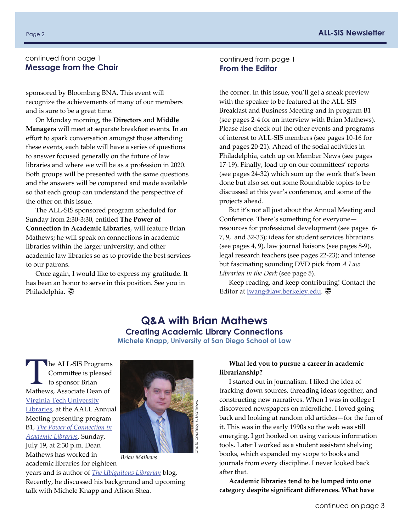#### <span id="page-1-0"></span>continued from page 1 **Message from the Chair**

sponsored by Bloomberg BNA. This event will recognize the achievements of many of our members and is sure to be a great time.

On Monday morning, the **Directors** and **Middle Managers** will meet at separate breakfast events. In an effort to spark conversation amongst those attending these events, each table will have a series of questions to answer focused generally on the future of law libraries and where we will be as a profession in 2020. Both groups will be presented with the same questions and the answers will be compared and made available so that each group can understand the perspective of the other on this issue.

The ALL‐SIS sponsored program scheduled for Sunday from 2:30‐3:30, entitled **The Power of Connection in Academic Libraries**, will feature Brian Mathews; he will speak on connections in academic libraries within the larger university, and other academic law libraries so as to provide the best services to our patrons.

Once again, I would like to express my gratitude. It has been an honor to serve in this position. See you in Philadelphia.

continued from page 1 **From the Editor** 

the corner. In this issue, you'll get a sneak preview with the speaker to be featured at the ALL‐SIS Breakfast and Business Meeting and in program B1 (see pages 2‐4 for an interview with Brian Mathews). Please also check out the other events and programs of interest to ALL‐SIS members (see pages 10‐16 for and pages 20‐21). Ahead of the social activities in Philadelphia, catch up on Member News (see pages 17‐19). Finally, load up on our committees' reports (see pages 24‐32) which sum up the work that's been done but also set out some Roundtable topics to be discussed at this year's conference, and some of the projects ahead.

But it's not all just about the Annual Meeting and Conference. There's something for everyone resources for professional development (see pages 6‐ 7, 9, and 32‐33); ideas for student services librarians (see pages 4, 9), law journal liaisons (see pages 8‐9), legal research teachers (see pages 22‐23); and intense but fascinating sounding DVD pick from *A Law Librarian in the Dark* (see page 5).

Keep reading, and keep contributing! Contact the Editor at [iwang@law.berkeley.edu](mailto:iwang@law.berkeley.edu).

# **Q&A with Brian Mathews**

**Creating Academic Library Connections Michele Knapp, University of San Diego School of Law** 

The ALL-SIS Programs Committee is pleased to sponsor Brian Mathews, Associate Dean of Virginia Tech [University](http://www.lib.vt.edu/) [Libraries,](http://www.lib.vt.edu/) at the AALL Annual Meeting presenting program B1, *[The Power of Connection in](http://eventmobi.com/aall2015/agenda/83915/494686)  [Academic Libraries](http://eventmobi.com/aall2015/agenda/83915/494686)*, Sunday, July 19, at 2:30 p.m. Dean Mathews has worked in academic libraries for eighteen



*Brian Mathews* 

years and is author of *[The Ubiquitous Librarian](http://chronicle.com/blognetwork/theubiquitouslibrarian/)* blog. Recently, he discussed his background and upcoming talk with Michele Knapp and Alison Shea.

#### **What led you to pursue a career in academic librarianship?**

I started out in journalism. I liked the idea of tracking down sources, threading ideas together, and constructing new narratives. When I was in college I discovered newspapers on microfiche. I loved going back and looking at random old articles—for the fun of it. This was in the early 1990s so the web was still emerging. I got hooked on using various information tools. Later I worked as a student assistant shelving books, which expanded my scope to books and journals from every discipline. I never looked back after that.

**Academic libraries tend to be lumped into one category despite significant differences. What have**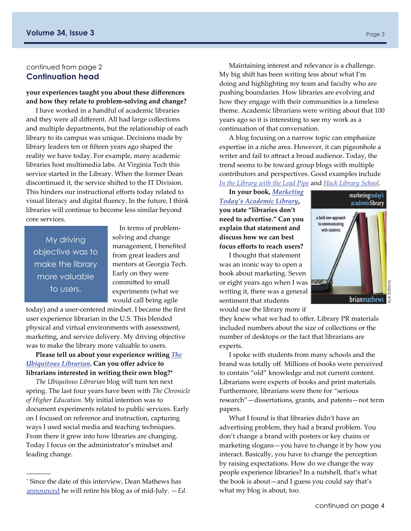#### continued from page 2 **Continuation head**

#### **your experiences taught you about these differences and how they relate to problem‐solving and change?**

I have worked in a handful of academic libraries and they were all different. All had large collections and multiple departments, but the relationship of each library to its campus was unique. Decisions made by library leaders ten or fifteen years ago shaped the reality we have today. For example, many academic libraries host multimedia labs. At Virginia Tech this service started in the Library. When the former Dean discontinued it, the service shifted to the IT Division. This hinders our instructional efforts today related to visual literacy and digital fluency. In the future, I think libraries will continue to become less similar beyond core services.

My driving objective was to make the library more valuable to users.

**Contract Contract** 

In terms of problem‐ solving and change management, I benefited from great leaders and mentors at Georgia Tech. Early on they were committed to small experiments (what we would call being agile

today) and a user‐centered mindset. I became the first user experience librarian in the U.S. This blended physical and virtual environments with assessment, marketing, and service delivery. My driving objective was to make the library more valuable to users.

**Please tell us about your experience writing** *[The](http://chronicle.com/blognetwork/theubiquitouslibrarian/) [Ubiquitous](http://chronicle.com/blognetwork/theubiquitouslibrarian/) Librarian***. Can you offer advice to librarians interested in writing their own blog?**\*

*The Ubiquitous Librarian* blog will turn ten next spring. The last four years have been with *The Chronicle of Higher Education*. My initial intention was to document experiments related to public services. Early on I focused on reference and instruction, capturing ways I used social media and teaching techniques. From there it grew into how libraries are changing. Today I focus on the administrator's mindset and leading change.

Maintaining interest and relevance is a challenge. My big shift has been writing less about what I'm doing and highlighting my team and faculty who are pushing boundaries. How libraries are evolving and how they engage with their communities is a timeless theme. Academic librarians were writing about that 100 years ago so it is interesting to see my work as a continuation of that conversation.

A blog focusing on a narrow topic can emphasize expertise in a niche area. However, it can pigeonhole a writer and fail to attract a broad audience. Today, the trend seems to be toward group blogs with multiple contributors and perspectives. Good examples include *[In the Library with the Lead Pipe](http://www.inthelibrarywiththeleadpipe.org/)* and *[Hack Library School](http://hacklibraryschool.com/)*.

**In your book,** *[Marketing](http://www.amazon.com/Marketing-Todays-Academic-Library-Communicating/dp/0838909841/ref=sr_1_1?s=books&ie=UTF8&qid=1431367347&sr=1-1&keywords=marketing+today%27s+academic+library) Today's [Academic](http://www.amazon.com/Marketing-Todays-Academic-Library-Communicating/dp/0838909841/ref=sr_1_1?s=books&ie=UTF8&qid=1431367347&sr=1-1&keywords=marketing+today%27s+academic+library) Library***, you state "libraries don't need to advertise." Can you explain that statement and discuss how we can best focus efforts to reach users?**

I thought that statement was an ironic way to open a book about marketing. Seven or eight years ago when I was writing it, there was a general sentiment that students would use the library more if

marketingtoday's academiclibrary a bold new approach to communicating with students ALA Editions brianmathews

they knew what we had to offer. Library PR materials included numbers about the size of collections or the number of desktops or the fact that librarians are experts.

I spoke with students from many schools and the brand was totally off. Millions of books were perceived to contain "old" knowledge and not current content. Librarians were experts of books and print materials. Furthermore, librarians were there for "serious research"—dissertations, grants, and patents—not term papers.

What I found is that libraries didn't have an advertising problem, they had a brand problem. You don't change a brand with posters or key chains or marketing slogans—you have to change it by how you interact. Basically, you have to change the perception by raising expectations. How do we change the way people experience libraries? In a nutshell, that's what the book is about—and I guess you could say that's what my blog is about, too.

<sup>\*</sup> Since the date of this interview, Dean Mathews has [announced](http://chronicle.com/blognetwork/theubiquitouslibrarian/2015/05/26/ending-my-blog-in-50-days/) he will retire his blog as of mid‐July. —*Ed.*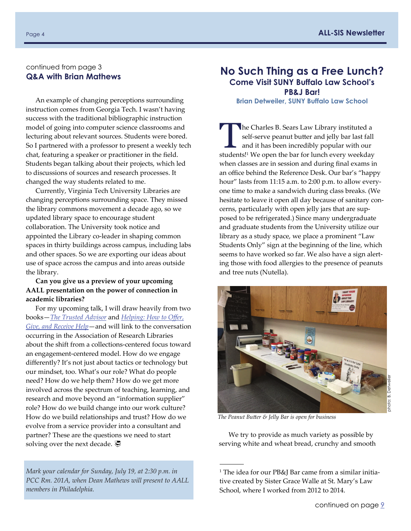#### <span id="page-3-0"></span>continued from page 3 **Q&A with Brian Mathews**

An example of changing perceptions surrounding **Brian Detweiler, SUNY Buffalo Law School**  instruction comes from Georgia Tech. I wasn't having success with the traditional bibliographic instruction model of going into computer science classrooms and lecturing about relevant sources. Students were bored. So I partnered with a professor to present a weekly tech chat, featuring a speaker or practitioner in the field. Students began talking about their projects, which led to discussions of sources and research processes. It changed the way students related to me.

Currently, Virginia Tech University Libraries are changing perceptions surrounding space. They missed the library commons movement a decade ago, so we updated library space to encourage student collaboration. The University took notice and appointed the Library co‐leader in shaping common spaces in thirty buildings across campus, including labs and other spaces. So we are exporting our ideas about use of space across the campus and into areas outside the library.

#### **Can you give us a preview of your upcoming AALL presentation on the power of connection in academic libraries?**

For my upcoming talk, I will draw heavily from two books—*[The Trusted Advisor](http://www.amazon.com/The-Trusted-Advisor-David-Maister/dp/0743212347/ref=pd_sim_14_1?ie=UTF8&refRID=0GDQ475DHRM6ZSMS13VV)* and *[Helping: How to O](http://www.amazon.com/Helping-Offer-Give-Receive-Help/dp/1605098566/ref=sr_1_1?s=books&ie=UTF8&qid=1431365996&sr=1-1&keywords=Helping%3A+How+to+Offer%2C+Give%2C+and+Receive+Help)ffer, [Give, and Receive Help](http://www.amazon.com/Helping-Offer-Give-Receive-Help/dp/1605098566/ref=sr_1_1?s=books&ie=UTF8&qid=1431365996&sr=1-1&keywords=Helping%3A+How+to+Offer%2C+Give%2C+and+Receive+Help)*—and will link to the conversation occurring in the Association of Research Libraries about the shift from a collections‐centered focus toward an engagement‐centered model. How do we engage differently? It's not just about tactics or technology but our mindset, too. What's our role? What do people need? How do we help them? How do we get more involved across the spectrum of teaching, learning, and research and move beyond an "information supplier" role? How do we build change into our work culture? How do we build relationships and trust? How do we evolve from a service provider into a consultant and partner? These are the questions we need to start solving over the next decade.  $\mathcal{F}$ 

*Mark your calendar for Sunday, July 19, at 2:30 p.m. in PCC Rm. 201A, when Dean Mathews will present to AALL members in Philadelphia.*

# **No Such Thing as a Free Lunch? Come Visit SUNY Buffalo Law School's PB&J Bar!**

The Charles B. Sears Law Library instituted a self-serve peanut butter and jelly bar last fall and it has been incredibly popular with our studental! We are the har for lunch averwwweekdom self‐serve peanut butter and jelly bar last fall students!1 We open the bar for lunch every weekday when classes are in session and during final exams in an office behind the Reference Desk. Our bar's "happy hour" lasts from 11:15 a.m. to 2:00 p.m. to allow everyone time to make a sandwich during class breaks. (We hesitate to leave it open all day because of sanitary concerns, particularly with open jelly jars that are sup‐ posed to be refrigerated.) Since many undergraduate and graduate students from the University utilize our library as a study space, we place a prominent "Law Students Only" sign at the beginning of the line, which seems to have worked so far. We also have a sign alerting those with food allergies to the presence of peanuts and tree nuts (Nutella).



*The Peanut Butter & Jelly Bar is open for business* 

**Contract Contract** 

We try to provide as much variety as possible by serving white and wheat bread, crunchy and smooth

<sup>&</sup>lt;sup>1</sup> The idea for our PB&J Bar came from a similar initiative created by Sister Grace Walle at St. Mary's Law School, where I worked from 2012 to 2014.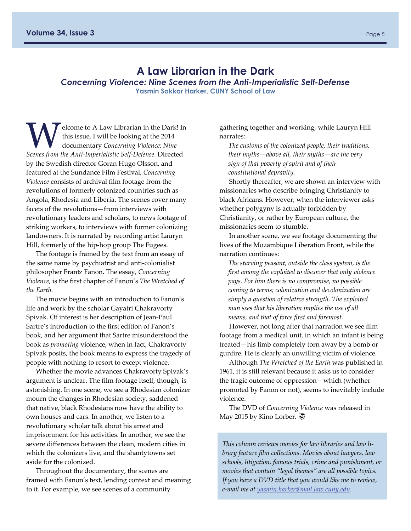## **A Law Librarian in the Dark**

<span id="page-4-0"></span>*Concerning Violence: Nine Scenes from the Anti-Imperialistic Self-Defense*  **Yasmin Sokkar Harker, CUNY School of Law** 

elcome to A Law Librarian in the Dark! In this issue, I will be looking at the 2014 documentary *Concerning Violence: Nine Scenes from the Anti‐Imperialistic Self‐Defense.* Directed by the Swedish director Goran Hugo Olsson, and featured at the Sundance Film Festival, *Concerning Violence* consists of archival film footage from the revolutions of formerly colonized countries such as Angola, Rhodesia and Liberia. The scenes cover many facets of the revolutions—from interviews with revolutionary leaders and scholars, to news footage of striking workers, to interviews with former colonizing landowners. It is narrated by recording artist Lauryn Hill, formerly of the hip‐hop group The Fugees.

The footage is framed by the text from an essay of the same name by psychiatrist and anti‐colonialist philosopher Frantz Fanon. The essay, *Concerning Violence*, is the first chapter of Fanon's *The Wretched of the Earth.*

The movie begins with an introduction to Fanon's life and work by the scholar Gayatri Chakravorty Spivak. Of interest is her description of Jean‐Paul Sartre's introduction to the first edition of Fanon's book, and her argument that Sartre misunderstood the book as *promoting* violence, when in fact, Chakravorty Spivak posits, the book means to express the tragedy of people with nothing to resort to except violence.

Whether the movie advances Chakravorty Spivak's argument is unclear. The film footage itself, though, is astonishing. In one scene, we see a Rhodesian colonizer mourn the changes in Rhodesian society, saddened that native, black Rhodesians now have the ability to own houses and cars. In another, we listen to a revolutionary scholar talk about his arrest and imprisonment for his activities. In another, we see the severe differences between the clean, modern cities in which the colonizers live, and the shantytowns set aside for the colonized.

Throughout the documentary, the scenes are framed with Fanon's text, lending context and meaning to it. For example, we see scenes of a community

gathering together and working, while Lauryn Hill narrates:

*The customs of the colonized people, their traditions, their myths—above all, their myths—are the very sign of that poverty of spirit and of their constitutional depravity.* 

Shortly thereafter, we are shown an interview with missionaries who describe bringing Christianity to black Africans. However, when the interviewer asks whether polygyny is actually forbidden by Christianity, or rather by European culture, the missionaries seem to stumble.

In another scene, we see footage documenting the lives of the Mozambique Liberation Front, while the narration continues:

*The starving peasant, outside the class system, is the first among the exploited to discover that only violence pays. For him there is no compromise, no possible coming to terms; colonization and decolonization are simply a question of relative strength. The exploited man sees that his liberation implies the use of all means, and that of force first and foremost.* 

However, not long after that narration we see film footage from a medical unit, in which an infant is being treated—his limb completely torn away by a bomb or gunfire. He is clearly an unwilling victim of violence.

Although *The Wretched of the Earth* was published in 1961, it is still relevant because it asks us to consider the tragic outcome of oppression—which (whether promoted by Fanon or not), seems to inevitably include violence.

The DVD of *Concerning Violence* was released in May 2015 by Kino Lorber. **₹** 

*This column reviews movies for law libraries and law li‐ brary feature film collections. Movies about lawyers, law schools, litigation, famous trials, crime and punishment, or movies that contain "legal themes" are all possible topics. If you have a DVD title that you would like me to review, e‐mail me at [yasmin.harker@mail.law.cuny.edu](mailto:yasmin.harker@mail.law.cuny.edu).*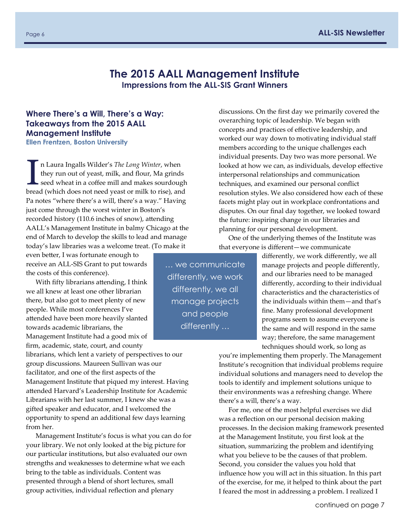# **The 2015 AALL Management Institute Impressions from the ALL-SIS Grant Winners**

# <span id="page-5-0"></span>**Where There's a Will, There's a Way: Takeaways from the 2015 AALL Management Institute**

**Ellen Frentzen, Boston University** 

In Laura Ingalls Wilder's *The Long Winter*, when<br>they run out of yeast, milk, and flour, Ma grind<br>seed wheat in a coffee mill and makes sourdoughted<br>are alle to rise) and they run out of yeast, milk, and flour, Ma grinds seed wheat in a coffee mill and makes sourdough bread (which does not need yeast or milk to rise), and Pa notes "where there's a will, there's a way." Having just come through the worst winter in Boston's recorded history (110.6 inches of snow), attending AALL's Management Institute in balmy Chicago at the end of March to develop the skills to lead and manage today's law libraries was a welcome treat. (To make it

even better, I was fortunate enough to receive an ALL‐SIS Grant to put towards the costs of this conference).

With fifty librarians attending, I think we all knew at least one other librarian there, but also got to meet plenty of new people. While most conferences I've attended have been more heavily slanted towards academic librarians, the Management Institute had a good mix of firm, academic, state, court, and county

librarians, which lent a variety of perspectives to our group discussions. Maureen Sullivan was our facilitator, and one of the first aspects of the Management Institute that piqued my interest. Having attended Harvard's Leadership Institute for Academic Librarians with her last summer, I knew she was a gifted speaker and educator, and I welcomed the opportunity to spend an additional few days learning from her.

Management Institute's focus is what you can do for your library. We not only looked at the big picture for our particular institutions, but also evaluated our own strengths and weaknesses to determine what we each bring to the table as individuals. Content was presented through a blend of short lectures, small group activities, individual reflection and plenary

members according to the unique challenges each individual presents. Day two was more personal. We looked at how we can, as individuals, develop effective interpersonal relationships and communication techniques, and examined our personal conflict resolution styles. We also considered how each of these facets might play out in workplace confrontations and disputes. On our final day together, we looked toward the future: inspiring change in our libraries and planning for our personal development. One of the underlying themes of the Institute was

discussions. On the first day we primarily covered the overarching topic of leadership. We began with concepts and practices of effective leadership, and worked our way down to motivating individual staff

that everyone is different—we communicate

differently, we work differently, we all manage projects and people differently, and our libraries need to be managed differently, according to their individual characteristics and the characteristics of the individuals within them—and that's fine. Many professional development programs seem to assume everyone is the same and will respond in the same way; therefore, the same management techniques should work, so long as

you're implementing them properly. The Management Institute's recognition that individual problems require individual solutions and managers need to develop the tools to identify and implement solutions unique to their environments was a refreshing change. Where there's a will, there's a way.

For me, one of the most helpful exercises we did was a reflection on our personal decision making processes. In the decision making framework presented at the Management Institute, you first look at the situation, summarizing the problem and identifying what you believe to be the causes of that problem. Second, you consider the values you hold that influence how you will act in this situation. In this part of the exercise, for me, it helped to think about the part I feared the most in addressing a problem. I realized I

… we communicate differently, we work differently, we all manage projects and people differently …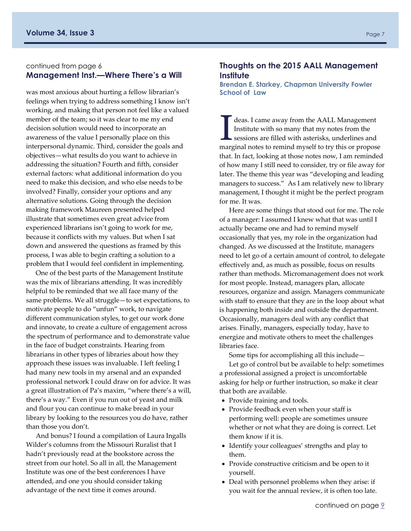#### <span id="page-6-0"></span>continued from page 6 **Management Inst.—Where There's a Will**

was most anxious about hurting a fellow librarian's feelings when trying to address something I know isn't working, and making that person not feel like a valued member of the team; so it was clear to me my end decision solution would need to incorporate an awareness of the value I personally place on this interpersonal dynamic. Third, consider the goals and objectives—what results do you want to achieve in addressing the situation? Fourth and fifth, consider external factors: what additional information do you need to make this decision, and who else needs to be involved? Finally, consider your options and any alternative solutions. Going through the decision making framework Maureen presented helped illustrate that sometimes even great advice from experienced librarians isn't going to work for me, because it conflicts with my values. But when I sat down and answered the questions as framed by this process, I was able to begin crafting a solution to a problem that I would feel confident in implementing.

One of the best parts of the Management Institute was the mix of librarians attending. It was incredibly helpful to be reminded that we all face many of the same problems. We all struggle—to set expectations, to motivate people to do "unfun" work, to navigate different communication styles, to get our work done and innovate, to create a culture of engagement across the spectrum of performance and to demonstrate value in the face of budget constraints. Hearing from librarians in other types of libraries about how they approach these issues was invaluable. I left feeling I had many new tools in my arsenal and an expanded professional network I could draw on for advice. It was a great illustration of Pa's maxim, "where there's a will, there's a way." Even if you run out of yeast and milk and flour you can continue to make bread in your library by looking to the resources you do have, rather than those you don't.

And bonus? I found a compilation of Laura Ingalls Wilder's columns from the Missouri Ruralist that I hadn't previously read at the bookstore across the street from our hotel. So all in all, the Management Institute was one of the best conferences I have attended, and one you should consider taking advantage of the next time it comes around.

#### **Thoughts on the 2015 AALL Management Institute**

**Brendan E. Starkey, Chapman University Fowler School of Law** 

I deas. I came away from the AALL Management<br>Institute with so many that my notes from the<br>sessions are filled with asterisks, underlines and<br>magnified notes to remind myself to try this or nanoge Institute with so many that my notes from the marginal notes to remind myself to try this or propose that. In fact, looking at those notes now, I am reminded of how many I still need to consider, try or file away for later. The theme this year was "developing and leading managers to success." As I am relatively new to library management, I thought it might be the perfect program for me. It was.

Here are some things that stood out for me. The role of a manager: I assumed I knew what that was until I actually became one and had to remind myself occasionally that yes, my role in the organization had changed. As we discussed at the Institute, managers need to let go of a certain amount of control, to delegate effectively and, as much as possible, focus on results rather than methods. Micromanagement does not work for most people. Instead, managers plan, allocate resources, organize and assign. Managers communicate with staff to ensure that they are in the loop about what is happening both inside and outside the department. Occasionally, managers deal with any conflict that arises. Finally, managers, especially today, have to energize and motivate others to meet the challenges libraries face.

Some tips for accomplishing all this include—

Let go of control but be available to help: sometimes a professional assigned a project is uncomfortable asking for help or further instruction, so make it clear that both are available.

- Provide training and tools.
- Provide feedback even when your staff is performing well: people are sometimes unsure whether or not what they are doing is correct. Let them know if it is.
- Identify your colleagues' strengths and play to them.
- Provide constructive criticism and be open to it yourself.
- Deal with personnel problems when they arise: if you wait for the annual review, it is often too late.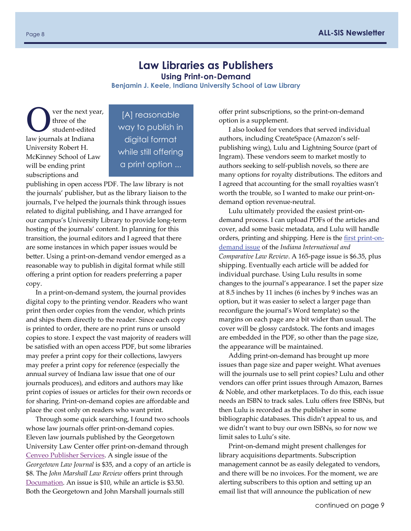# **Law Libraries as Publishers**

**Using Print-on-Demand** 

**Benjamin J. Keele, Indiana University School of Law Library** 

<span id="page-7-0"></span>ver the next year, three of the student‐edited law journals at Indiana University Robert H. McKinney School of Law will be ending print subscriptions and

[A] reasonable way to publish in digital format while still offering a print option ...

publishing in open access PDF. The law library is not the journals' publisher, but as the library liaison to the journals, I've helped the journals think through issues related to digital publishing, and I have arranged for our campus's University Library to provide long‐term hosting of the journals' content. In planning for this transition, the journal editors and I agreed that there are some instances in which paper issues would be better. Using a print‐on‐demand vendor emerged as a reasonable way to publish in digital format while still offering a print option for readers preferring a paper copy.

In a print‐on‐demand system, the journal provides digital copy to the printing vendor. Readers who want print then order copies from the vendor, which prints and ships them directly to the reader. Since each copy is printed to order, there are no print runs or unsold copies to store. I expect the vast majority of readers will be satisfied with an open access PDF, but some libraries may prefer a print copy for their collections, lawyers may prefer a print copy for reference (especially the annual survey of Indiana law issue that one of our journals produces), and editors and authors may like print copies of issues or articles for their own records or for sharing. Print‐on‐demand copies are affordable and place the cost only on readers who want print.

Through some quick searching, I found two schools whose law journals offer print-on-demand copies. Eleven law journals published by the Georgetown University Law Center offer print‐on‐demand through Cenveo [Publisher](https://articleworks.cadmus.com/geolaw/GeoLaw.html) Services. A single issue of the *Georgetown Law Journal* is \$35, and a copy of an article is \$8. The *John Marshall Law Review* offers print through [Documation](http://jmlr.documation.com/). An issue is \$10, while an article is \$3.50. Both the Georgetown and John Marshall journals still

offer print subscriptions, so the print‐on‐demand option is a supplement.

I also looked for vendors that served individual authors, including CreateSpace (Amazon's self‐ publishing wing), Lulu and Lightning Source (part of Ingram). These vendors seem to market mostly to authors seeking to self‐publish novels, so there are many options for royalty distributions. The editors and I agreed that accounting for the small royalties wasn't worth the trouble, so I wanted to make our print‐on‐ demand option revenue‐neutral.

Lulu ultimately provided the easiest print‐on‐ demand process. I can upload PDFs of the articles and cover, add some basic metadata, and Lulu will handle orders, printing and shipping. Here is the first [print](http://www.lulu.com/shop/paul-t-babcock-ed/indiana-international-and-comparative-law-review-251/paperback/product-22161172.html)‐on‐ [demand](http://www.lulu.com/shop/paul-t-babcock-ed/indiana-international-and-comparative-law-review-251/paperback/product-22161172.html) issue of the *Indiana International and Comparative Law Review*. A 165‐page issue is \$6.35, plus shipping. Eventually each article will be added for individual purchase. Using Lulu results in some changes to the journal's appearance. I set the paper size at 8.5 inches by 11 inches (6 inches by 9 inches was an option, but it was easier to select a larger page than reconfigure the journal's Word template) so the margins on each page are a bit wider than usual. The cover will be glossy cardstock. The fonts and images are embedded in the PDF, so other than the page size, the appearance will be maintained.

Adding print‐on‐demand has brought up more issues than page size and paper weight. What avenues will the journals use to sell print copies? Lulu and other vendors can offer print issues through Amazon, Barnes & Noble, and other marketplaces. To do this, each issue needs an ISBN to track sales. Lulu offers free ISBNs, but then Lulu is recorded as the publisher in some bibliographic databases. This didn't appeal to us, and we didn't want to buy our own ISBNs, so for now we limit sales to Lulu's site.

Print‐on‐demand might present challenges for library acquisitions departments. Subscription management cannot be as easily delegated to vendors, and there will be no invoices. For the moment, we are alerting subscribers to this option and setting up an email list that will announce the publication of new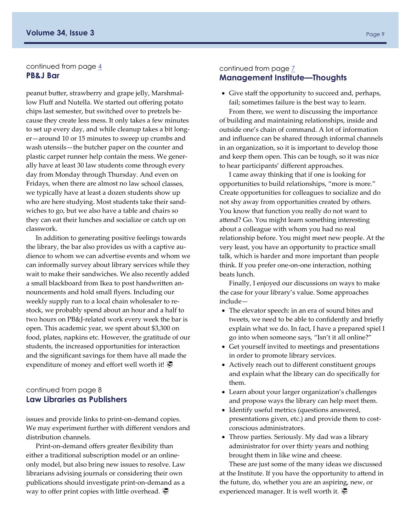#### <span id="page-8-0"></span>continued from page  $\frac{4}{3}$ **PB&J Bar**

peanut butter, strawberry and grape jelly, Marshmal‐ low Fluff and Nutella. We started out offering potato chips last semester, but switched over to pretzels be‐ cause they create less mess. It only takes a few minutes to set up every day, and while cleanup takes a bit long‐ er—around 10 or 15 minutes to sweep up crumbs and wash utensils—the butcher paper on the counter and plastic carpet runner help contain the mess. We gener‐ ally have at least 30 law students come through every day from Monday through Thursday. And even on Fridays, when there are almost no law school classes, we typically have at least a dozen students show up who are here studying. Most students take their sand‐ wiches to go, but we also have a table and chairs so they can eat their lunches and socialize or catch up on classwork.

In addition to generating positive feelings towards the library, the bar also provides us with a captive au‐ dience to whom we can advertise events and whom we can informally survey about library services while they wait to make their sandwiches. We also recently added a small blackboard from Ikea to post handwritten an‐ nouncements and hold small flyers. Including our weekly supply run to a local chain wholesaler to restock, we probably spend about an hour and a half to two hours on PB&J‐related work every week the bar is open. This academic year, we spent about \$3,300 on food, plates, napkins etc. However, the gratitude of our students, the increased opportunities for interaction and the significant savings for them have all made the expenditure of money and effort well worth it!

#### continued from page 8 **Law Libraries as Publishers**

issues and provide links to print‐on‐demand copies. We may experiment further with different vendors and distribution channels.

Print‐on‐demand offers greater flexibility than either a traditional subscription model or an online‐ only model, but also bring new issues to resolve. Law librarians advising journals or considering their own publications should investigate print‐on‐demand as a way to offer print copies with little overhead.  $\overline{\mathcal{P}}$ 

#### continued from page  $\overline{Z}$ **Management Institute—Thoughts**

 Give staff the opportunity to succeed and, perhaps, fail; sometimes failure is the best way to learn.

From there, we went to discussing the importance of building and maintaining relationships, inside and outside one's chain of command. A lot of information and influence can be shared through informal channels in an organization, so it is important to develop those and keep them open. This can be tough, so it was nice to hear participants' different approaches.

I came away thinking that if one is looking for opportunities to build relationships, "more is more." Create opportunities for colleagues to socialize and do not shy away from opportunities created by others. You know that function you really do not want to attend? Go. You might learn something interesting about a colleague with whom you had no real relationship before. You might meet new people. At the very least, you have an opportunity to practice small talk, which is harder and more important than people think. If you prefer one‐on‐one interaction, nothing beats lunch.

Finally, I enjoyed our discussions on ways to make the case for your library's value. Some approaches include—

- The elevator speech: in an era of sound bites and tweets, we need to be able to confidently and briefly explain what we do. In fact, I have a prepared spiel I go into when someone says, "Isn't it all online?"
- Get yourself invited to meetings and presentations in order to promote library services.
- Actively reach out to different constituent groups and explain what the library can do specifically for them.
- Learn about your larger organization's challenges and propose ways the library can help meet them.
- Identify useful metrics (questions answered, presentations given, etc.) and provide them to costconscious administrators.
- Throw parties. Seriously. My dad was a library administrator for over thirty years and nothing brought them in like wine and cheese.

These are just some of the many ideas we discussed at the Institute. If you have the opportunity to attend in the future, do, whether you are an aspiring, new, or experienced manager. It is well worth it.  $\overline{\mathcal{C}}$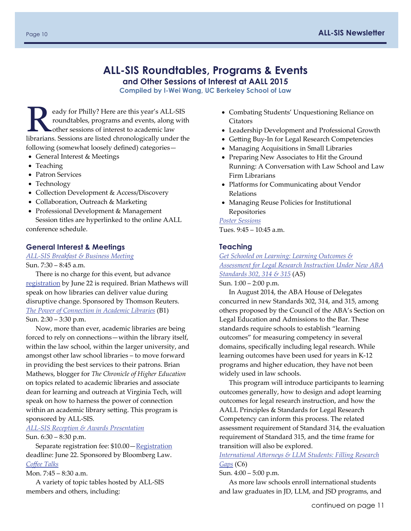# **ALL-SIS Roundtables, Programs & Events**

**and Other Sessions of Interest at AALL 2015** 

**Compiled by I-Wei Wang, UC Berkeley School of Law** 

<span id="page-9-0"></span>eady for Philly? Here are this year's ALL-SIS roundtables, programs and events, along with other sessions of interest to academic law librarians. Sessions are listed chronologically under the following (somewhat loosely defined) categories—

- General Interest & Meetings
- Teaching
- Patron Services
- Technology
- Collection Development & Access/Discovery
- Collaboration, Outreach & Marketing
- Professional Development & Management Session titles are hyperlinked to the online AALL conference schedule.

#### **General Interest & Meetings**

*ALL‐[SIS Breakfast & Business Meeting](http://eventmobi.com/aall2015/agenda/83915/494837)* Sun. 7:30 – 8:45 a.m.

There is no charge for this event, but advance [registration](http://www.aallnet.org/conference/get-there/registration) by June 22 is required. Brian Mathews will speak on how libraries can deliver value during disruptive change. Sponsored by Thomson Reuters. *[The Power of Connection in Academic Libraries](http://eventmobi.com/aall2015/agenda/83915/494686)* (B1) Sun. 2:30 – 3:30 p.m.

Now, more than ever, academic libraries are being forced to rely on connections—within the library itself, within the law school, within the larger university, and amongst other law school libraries – to move forward in providing the best services to their patrons. Brian Mathews, blogger for *The Chronicle of Higher Education* on topics related to academic libraries and associate dean for learning and outreach at Virginia Tech, will speak on how to harness the power of connection within an academic library setting. This program is sponsored by ALL‐SIS.

*ALL‐[SIS Reception & Awards Presentation](http://eventmobi.com/aall2015/agenda/83915/494844)* Sun. 6:30 – 8:30 p.m.

Separate registration fee: \$10.00 - [Registration](http://www.aallnet.org/conference/get-there/registration) deadline: June 22. Sponsored by Bloomberg Law. *Coff[ee Talks](http://eventmobi.com/aall2015/agenda/83915/500298)*

Mon. 7:45 – 8:30 a.m.

A variety of topic tables hosted by ALL‐SIS members and others, including:

- Combating Students' Unquestioning Reliance on Citators
- Leadership Development and Professional Growth
- Getting Buy‐In for Legal Research Competencies
- Managing Acquisitions in Small Libraries
- Preparing New Associates to Hit the Ground Running: A Conversation with Law School and Law Firm Librarians
- Platforms for Communicating about Vendor Relations
- Managing Reuse Policies for Institutional Repositories

#### *[Poster Sessions](http://www.aallnet.org/conference/education/poster-sessions.html)*

Tues. 9:45 – 10:45 a.m.

#### **Teaching**

*[Get Schooled on Learning: Learning Outcomes &](http://eventmobi.com/aall2015/agenda/83915/494682)  [Assessment for Legal Research Instruction Under New ABA](http://eventmobi.com/aall2015/agenda/83915/494682)  [Standards 302, 314 & 315](http://eventmobi.com/aall2015/agenda/83915/494682)* (A5)

Sun. 1:00 – 2:00 p.m.

In August 2014, the ABA House of Delegates concurred in new Standards 302, 314, and 315, among others proposed by the Council of the ABA's Section on Legal Education and Admissions to the Bar. These standards require schools to establish "learning outcomes" for measuring competency in several domains, specifically including legal research. While learning outcomes have been used for years in K‐12 programs and higher education, they have not been widely used in law schools.

This program will introduce participants to learning outcomes generally, how to design and adopt learning outcomes for legal research instruction, and how the AALL Principles & Standards for Legal Research Competency can inform this process. The related assessment requirement of Standard 314, the evaluation requirement of Standard 315, and the time frame for transition will also be explored.

*International Att[orneys & LLM Students: Filling Research](http://eventmobi.com/aall2015/agenda/83915/494699)  [Gaps](http://eventmobi.com/aall2015/agenda/83915/494699)* (C6)

Sun. 4:00 – 5:00 p.m.

As more law schools enroll international students and law graduates in JD, LLM, and JSD programs, and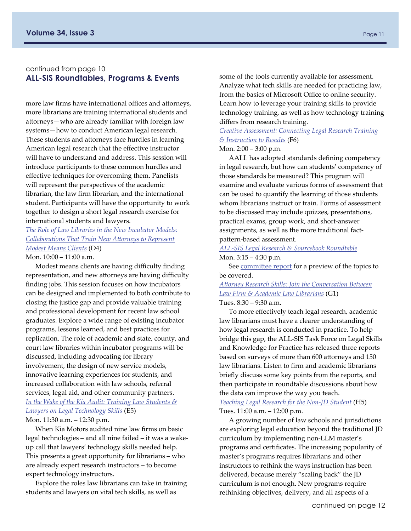#### continued from page 10 **ALL-SIS Roundtables, Programs & Events**

more law firms have international offices and attorneys, more librarians are training international students and attorneys—who are already familiar with foreign law systems—how to conduct American legal research. These students and attorneys face hurdles in learning American legal research that the effective instructor will have to understand and address. This session will introduce participants to these common hurdles and effective techniques for overcoming them. Panelists will represent the perspectives of the academic librarian, the law firm librarian, and the international student. Participants will have the opportunity to work together to design a short legal research exercise for international students and lawyers.

*[The Role of Law Libraries in the New Incubator Models:](http://eventmobi.com/aall2015/agenda/83915/494705)  [Collaborations That Train New A](http://eventmobi.com/aall2015/agenda/83915/494705)ttorneys to Represent [Modest Means Clients](http://eventmobi.com/aall2015/agenda/83915/494705)* (D4)

Mon. 10:00 – 11:00 a.m.

Modest means clients are having difficulty finding representation, and new attorneys are having difficulty finding jobs. This session focuses on how incubators can be designed and implemented to both contribute to closing the justice gap and provide valuable training and professional development for recent law school graduates. Explore a wide range of existing incubator programs, lessons learned, and best practices for replication. The role of academic and state, county, and court law libraries within incubator programs will be discussed, including advocating for library involvement, the design of new service models, innovative learning experiences for students, and increased collaboration with law schools, referral services, legal aid, and other community partners. *[In the Wake of the Kia Audit: Training Law Students &](http://eventmobi.com/aall2015/agenda/83915/494714)  [Lawyers on Legal Technology Skills](http://eventmobi.com/aall2015/agenda/83915/494714)* (E5) Mon. 11:30 a.m. – 12:30 p.m.

When Kia Motors audited nine law firms on basic legal technologies – and all nine failed – it was a wake‐ up call that lawyers' technology skills needed help. This presents a great opportunity for librarians – who are already expert research instructors – to become expert technology instructors.

Explore the roles law librarians can take in training students and lawyers on vital tech skills, as well as

some of the tools currently available for assessment. Analyze what tech skills are needed for practicing law, from the basics of Microsoft Office to online security. Learn how to leverage your training skills to provide technology training, as well as how technology training differs from research training.

*[Creative Assessment: Connecting Legal Research Training](http://eventmobi.com/aall2015/agenda/83915/494721)  [& Instruction to Results](http://eventmobi.com/aall2015/agenda/83915/494721)* (F6)

#### Mon. 2:00 – 3:00 p.m.

AALL has adopted standards defining competency in legal research, but how can students' competency of those standards be measured? This program will examine and evaluate various forms of assessment that can be used to quantify the learning of those students whom librarians instruct or train. Forms of assessment to be discussed may include quizzes, presentations, practical exams, group work, and short‐answer assignments, as well as the more traditional fact‐ pattern‐based assessment.

*ALL‐[SIS Legal Research & Sourcebook Roundtable](http://eventmobi.com/aall2015/agenda/83915/494841)*  Mon. 3:15 – 4:30 p.m.

See [commi](#page-27-0)ttee report for a preview of the topics to be covered.

*Att[orney Research Skills: Join the Conversation Between](http://eventmobi.com/aall2015/agenda/83915/494724)  [Law Firm & Academic Law Librarians](http://eventmobi.com/aall2015/agenda/83915/494724)* (G1)

Tues. 8:30 – 9:30 a.m.

To more effectively teach legal research, academic law librarians must have a clearer understanding of how legal research is conducted in practice. To help bridge this gap, the ALL‐SIS Task Force on Legal Skills and Knowledge for Practice has released three reports based on surveys of more than 600 attorneys and 150 law librarians. Listen to firm and academic librarians briefly discuss some key points from the reports, and then participate in roundtable discussions about how the data can improve the way you teach.

*[Teaching Legal Research for the Non](http://eventmobi.com/aall2015/agenda/83915/494736)‐JD Student* (H5) Tues. 11:00 a.m. – 12:00 p.m.

A growing number of law schools and jurisdictions are exploring legal education beyond the traditional JD curriculum by implementing non‐LLM master's programs and certificates. The increasing popularity of master's programs requires librarians and other instructors to rethink the ways instruction has been delivered, because merely "scaling back" the JD curriculum is not enough. New programs require rethinking objectives, delivery, and all aspects of a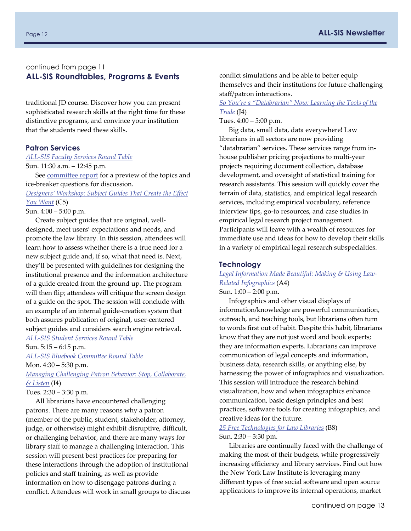#### continued from page 11 **ALL-SIS Roundtables, Programs & Events**

traditional JD course. Discover how you can present sophisticated research skills at the right time for these distinctive programs, and convince your institution that the students need these skills.

#### **Patron Services**

*ALL‐[SIS Faculty Services Round Table](http://eventmobi.com/aall2015/agenda/83915/494840)* 

Sun. 11:30 a.m. – 12:45 p.m.

See [commi](#page-26-0)ttee report for a preview of the topics and ice‐breaker questions for discussion.

*[Designers' Workshop: Subject Guides That Create the E](http://eventmobi.com/aall2015/agenda/83915/494698)ffect [You Want](http://eventmobi.com/aall2015/agenda/83915/494698)* (C5)

Sun. 4:00 – 5:00 p.m.

Create subject guides that are original, well‐ designed, meet users' expectations and needs, and promote the law library. In this session, attendees will learn how to assess whether there is a true need for a new subject guide and, if so, what that need is. Next, they'll be presented with guidelines for designing the institutional presence and the information architecture of a guide created from the ground up. The program will then flip; attendees will critique the screen design of a guide on the spot. The session will conclude with an example of an internal guide‐creation system that both assures publication of original, user‐centered subject guides and considers search engine retrieval.

*ALL‐[SIS Student Services Round Table](http://eventmobi.com/aall2015/agenda/83915/494849)* 

Sun. 5:15 – 6:15 p.m.

*ALL‐[SIS Bluebook Commi](http://eventmobi.com/aall2015/agenda/83915/494848)ttee Round Table* 

Mon. 4:30 – 5:30 p.m.

*[Managing Challenging Patron Behavior: Stop, Collaborate,](http://eventmobi.com/aall2015/agenda/83915/494742)  [& Listen](http://eventmobi.com/aall2015/agenda/83915/494742)* (I4)

Tues. 2:30 – 3:30 p.m.

All librarians have encountered challenging patrons. There are many reasons why a patron (member of the public, student, stakeholder, attorney, judge, or otherwise) might exhibit disruptive, difficult, or challenging behavior, and there are many ways for library staff to manage a challenging interaction. This session will present best practices for preparing for these interactions through the adoption of institutional policies and staff training, as well as provide information on how to disengage patrons during a conflict. Attendees will work in small groups to discuss conflict simulations and be able to better equip themselves and their institutions for future challenging staff/patron interactions.

#### *[So You're a "Databrarian" Now: Learning the Tools of the](http://eventmobi.com/aall2015/agenda/83915/494750)  [Trade](http://eventmobi.com/aall2015/agenda/83915/494750)* (J4)

Tues. 4:00 – 5:00 p.m.

Big data, small data, data everywhere! Law librarians in all sectors are now providing "databrarian" services. These services range from in‐ house publisher pricing projections to multi‐year projects requiring document collection, database development, and oversight of statistical training for research assistants. This session will quickly cover the terrain of data, statistics, and empirical legal research services, including empirical vocabulary, reference interview tips, go-to resources, and case studies in empirical legal research project management. Participants will leave with a wealth of resources for immediate use and ideas for how to develop their skills in a variety of empirical legal research subspecialties.

#### **Technology**

*[Legal Information Made Beautiful: Making & Using Law](http://eventmobi.com/aall2015/agenda/83915/494681)‐ [Related Infographics](http://eventmobi.com/aall2015/agenda/83915/494681)* (A4)

Sun. 1:00 – 2:00 p.m.

Infographics and other visual displays of information/knowledge are powerful communication, outreach, and teaching tools, but librarians often turn to words first out of habit. Despite this habit, librarians know that they are not just word and book experts; they are information experts. Librarians can improve communication of legal concepts and information, business data, research skills, or anything else, by harnessing the power of infographics and visualization. This session will introduce the research behind visualization, how and when infographics enhance communication, basic design principles and best practices, software tools for creating infographics, and creative ideas for the future.

#### *[25 Free Technologies for Law Libraries](http://eventmobi.com/aall2015/agenda/83915/494693)* (B8) Sun. 2:30 – 3:30 pm.

Libraries are continually faced with the challenge of making the most of their budgets, while progressively increasing efficiency and library services. Find out how the New York Law Institute is leveraging many different types of free social software and open source applications to improve its internal operations, market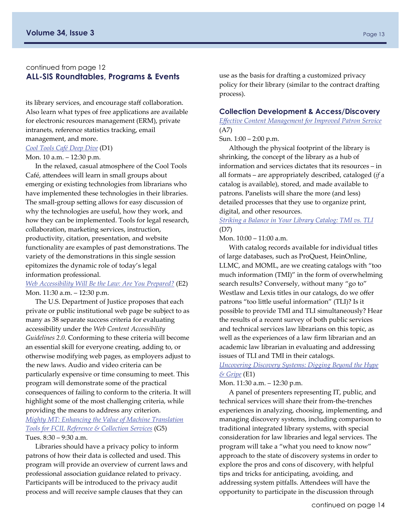#### continued from page 12 **ALL-SIS Roundtables, Programs & Events**

its library services, and encourage staff collaboration. Also learn what types of free applications are available for electronic resources management (ERM), private intranets, reference statistics tracking, email management, and more.

#### *[Cool Tools Café Deep Dive](http://eventmobi.com/aall2015/agenda/83915/494702)* (D1)

#### Mon. 10 a.m. – 12:30 p.m.

In the relaxed, casual atmosphere of the Cool Tools Café, attendees will learn in small groups about emerging or existing technologies from librarians who have implemented these technologies in their libraries. The small‐group setting allows for easy discussion of why the technologies are useful, how they work, and how they can be implemented. Tools for legal research, collaboration, marketing services, instruction, productivity, citation, presentation, and website functionality are examples of past demonstrations. The variety of the demonstrations in this single session epitomizes the dynamic role of today's legal information professional.

#### *[Web Accessibility Will Be the Law: Are You Prepared?](http://eventmobi.com/aall2015/agenda/83915/494711)* (E2) Mon. 11:30 a.m. – 12:30 p.m.

The U.S. Department of Justice proposes that each private or public institutional web page be subject to as many as 38 separate success criteria for evaluating accessibility under the *Web Content Accessibility Guidelines 2.0*. Conforming to these criteria will become an essential skill for everyone creating, adding to, or otherwise modifying web pages, as employers adjust to the new laws. Audio and video criteria can be particularly expensive or time consuming to meet. This program will demonstrate some of the practical consequences of failing to conform to the criteria. It will highlight some of the most challenging criteria, while providing the means to address any criterion. *[Mighty MT: Enhancing the Value of Machine Translation](http://eventmobi.com/aall2015/agenda/83915/494728)  [Tools for FCIL Reference & Collection Services](http://eventmobi.com/aall2015/agenda/83915/494728)* (G5) Tues. 8:30 – 9:30 a.m.

Libraries should have a privacy policy to inform patrons of how their data is collected and used. This program will provide an overview of current laws and professional association guidance related to privacy. Participants will be introduced to the privacy audit process and will receive sample clauses that they can

use as the basis for drafting a customized privacy policy for their library (similar to the contract drafting process).

#### **Collection Development & Access/Discovery**

*Eff[ective Content Management for Improved Patron Service](http://eventmobi.com/aall2015/agenda/83915/494684)*  (A7)

Sun. 1:00 – 2:00 p.m.

Although the physical footprint of the library is shrinking, the concept of the library as a hub of information and services dictates that its resources – in all formats – are appropriately described, cataloged (*if* a catalog is available), stored, and made available to patrons. Panelists will share the more (and less) detailed processes that they use to organize print, digital, and other resources.

*[Striking a Balance in Your Library Catalog: TMI vs. TLI](http://eventmobi.com/aall2015/agenda/83915/494708)* (D7)

Mon. 10:00 – 11:00 a.m.

With catalog records available for individual titles of large databases, such as ProQuest, HeinOnline, LLMC, and MOML, are we creating catalogs with "too much information (TMI)" in the form of overwhelming search results? Conversely, without many "go to" Westlaw and Lexis titles in our catalogs, do we offer patrons "too little useful information" (TLI)? Is it possible to provide TMI and TLI simultaneously? Hear the results of a recent survey of both public services and technical services law librarians on this topic, as well as the experiences of a law firm librarian and an academic law librarian in evaluating and addressing issues of TLI and TMI in their catalogs.

#### *[Uncovering Discovery Systems: Digging Beyond the Hype](http://eventmobi.com/aall2015/agenda/83915/494710)  [& Gripe](http://eventmobi.com/aall2015/agenda/83915/494710)* (E1)

Mon. 11:30 a.m. – 12:30 p.m.

A panel of presenters representing IT, public, and technical services will share their from‐the‐trenches experiences in analyzing, choosing, implementing, and managing discovery systems, including comparison to traditional integrated library systems, with special consideration for law libraries and legal services. The program will take a "what you need to know now" approach to the state of discovery systems in order to explore the pros and cons of discovery, with helpful tips and tricks for anticipating, avoiding, and addressing system pitfalls. Attendees will have the opportunity to participate in the discussion through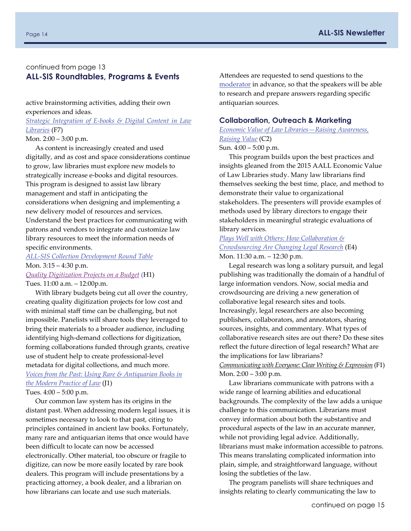#### continued from page 13 **ALL-SIS Roundtables, Programs & Events**

active brainstorming activities, adding their own experiences and ideas.

*Strategic Integration of E‐[books & Digital Content in Law](http://eventmobi.com/aall2015/agenda/83915/494720)  [Libraries](http://eventmobi.com/aall2015/agenda/83915/494720)* (F7)

Mon. 2:00 – 3:00 p.m.

As content is increasingly created and used digitally, and as cost and space considerations continue to grow, law libraries must explore new models to strategically increase e‐books and digital resources. This program is designed to assist law library management and staff in anticipating the considerations when designing and implementing a new delivery model of resources and services. Understand the best practices for communicating with patrons and vendors to integrate and customize law library resources to meet the information needs of specific environments.

#### *ALL‐[SIS Collection Development Round Table](http://eventmobi.com/aall2015/agenda/83915/494847)* Mon. 3:15 – 4:30 p.m. *[Quality Digitization Projects on a Budget](http://eventmobi.com/aall2015/agenda/83915/494732)* (H1)

Tues. 11:00 a.m. – 12:00p.m.

With library budgets being cut all over the country, creating quality digitization projects for low cost and with minimal staff time can be challenging, but not impossible. Panelists will share tools they leveraged to bring their materials to a broader audience, including identifying high‐demand collections for digitization, forming collaborations funded through grants, creative use of student help to create professional‐level metadata for digital collections, and much more. *[Voices from the Past: Using Rare & Antiquarian Books in](http://eventmobi.com/aall2015/agenda/83915/494747)  [the Modern Practice of Law](http://eventmobi.com/aall2015/agenda/83915/494747)* (J1)

Tues. 4:00 – 5:00 p.m.

Our common law system has its origins in the distant past. When addressing modern legal issues, it is sometimes necessary to look to that past, citing to principles contained in ancient law books. Fortunately, many rare and antiquarian items that once would have been difficult to locate can now be accessed electronically. Other material, too obscure or fragile to digitize, can now be more easily located by rare book dealers. This program will include presentations by a practicing attorney, a book dealer, and a librarian on how librarians can locate and use such materials.

Attendees are requested to send questions to the [moderator](mailto:mwpodvia@mail.wvu.edu) in advance, so that the speakers will be able to research and prepare answers regarding specific antiquarian sources.

#### **Collaboration, Outreach & Marketing**

#### *[Economic Value of Law Libraries—Raising Awareness,](http://eventmobi.com/aall2015/agenda/83915/494695)  [Raising Value](http://eventmobi.com/aall2015/agenda/83915/494695)* (C2)

Sun. 4:00 – 5:00 p.m.

This program builds upon the best practices and insights gleaned from the 2015 AALL Economic Value of Law Libraries study. Many law librarians find themselves seeking the best time, place, and method to demonstrate their value to organizational stakeholders. The presenters will provide examples of methods used by library directors to engage their stakeholders in meaningful strategic evaluations of library services.

#### *[Plays Well with Others: How Collaboration &](http://eventmobi.com/aall2015/agenda/83915/494713)  [Crowdsourcing Are Changing Legal Research](http://eventmobi.com/aall2015/agenda/83915/494713)* (E4) Mon. 11:30 a.m. – 12:30 p.m.

Legal research was long a solitary pursuit, and legal publishing was traditionally the domain of a handful of large information vendors. Now, social media and crowdsourcing are driving a new generation of collaborative legal research sites and tools. Increasingly, legal researchers are also becoming publishers, collaborators, and annotators, sharing sources, insights, and commentary. What types of collaborative research sites are out there? Do these sites reflect the future direction of legal research? What are the implications for law librarians? *[Communicating with Everyone: Clear Writing & Expression](http://eventmobi.com/aall2015/agenda/83915/494716)* (F1) Mon. 2:00 – 3:00 p.m.

Law librarians communicate with patrons with a wide range of learning abilities and educational backgrounds. The complexity of the law adds a unique challenge to this communication. Librarians must convey information about both the substantive and procedural aspects of the law in an accurate manner, while not providing legal advice. Additionally, librarians must make information accessible to patrons. This means translating complicated information into plain, simple, and straightforward language, without losing the subtleties of the law.

The program panelists will share techniques and insights relating to clearly communicating the law to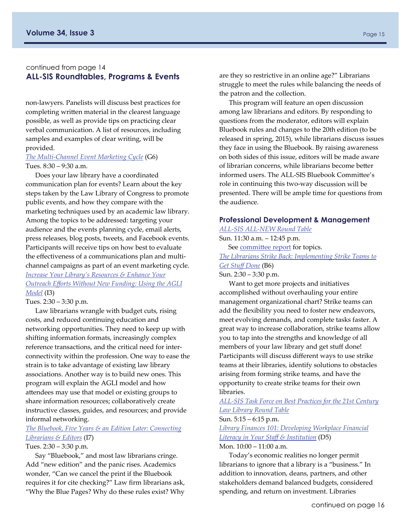#### continued from page 14 **ALL-SIS Roundtables, Programs & Events**

non‐lawyers. Panelists will discuss best practices for completing written material in the clearest language possible, as well as provide tips on practicing clear verbal communication. A list of resources, including samples and examples of clear writing, will be provided.

#### *The Multi‐[Channel Event Marketing Cycle](http://eventmobi.com/aall2015/agenda/83915/494729)* (G6) Tues. 8:30 – 9:30 a.m.

Does your law library have a coordinated communication plan for events? Learn about the key steps taken by the Law Library of Congress to promote public events, and how they compare with the marketing techniques used by an academic law library. Among the topics to be addressed: targeting your audience and the events planning cycle, email alerts, press releases, blog posts, tweets, and Facebook events. Participants will receive tips on how best to evaluate the effectiveness of a communications plan and multi‐ channel campaigns as part of an event marketing cycle. *[Increase Your Library's Resources & Enhance Your](http://eventmobi.com/aall2015/agenda/83915/494741)  Outreach Eff[orts Without New Funding: Using the AGLI](http://eventmobi.com/aall2015/agenda/83915/494741)  [Model](http://eventmobi.com/aall2015/agenda/83915/494741)* (I3)

Tues. 2:30 – 3:30 p.m.

Law librarians wrangle with budget cuts, rising costs, and reduced continuing education and networking opportunities. They need to keep up with shifting information formats, increasingly complex reference transactions, and the critical need for inter‐ connectivity within the profession. One way to ease the strain is to take advantage of existing law library associations. Another way is to build new ones. This program will explain the AGLI model and how attendees may use that model or existing groups to share information resources; collaboratively create instructive classes, guides, and resources; and provide informal networking.

#### *[The Bluebook, Five Years & an Edition Later: Connecting](http://eventmobi.com/aall2015/agenda/83915/494745)  [Librarians & Editors](http://eventmobi.com/aall2015/agenda/83915/494745)* (I7)

#### Tues. 2:30 – 3:30 p.m.

Say "Bluebook," and most law librarians cringe. Add "new edition" and the panic rises. Academics wonder, "Can we cancel the print if the Bluebook requires it for cite checking?" Law firm librarians ask, "Why the Blue Pages? Why do these rules exist? Why

are they so restrictive in an online age?" Librarians struggle to meet the rules while balancing the needs of the patron and the collection.

This program will feature an open discussion among law librarians and editors. By responding to questions from the moderator, editors will explain Bluebook rules and changes to the 20th edition (to be released in spring, 2015), while librarians discuss issues they face in using the Bluebook. By raising awareness on both sides of this issue, editors will be made aware of librarian concerns, while librarians become better informed users. The ALL‐SIS Bluebook Committee's role in continuing this two‐way discussion will be presented. There will be ample time for questions from the audience.

#### **Professional Development & Management**

#### *ALL‐SIS ALL‐[NEW Round Table](http://eventmobi.com/aall2015/agenda/83915/494839)*  Sun. 11:30 a.m. – 12:45 p.m.

See [commi](#page-23-0)ttee report for topics.

*[The Librarians Strike Back: Implementing Strike Teams to](http://eventmobi.com/aall2015/agenda/83915/494691)  [Get Stu](http://eventmobi.com/aall2015/agenda/83915/494691)ff Done* (B6) Sun. 2:30 – 3:30 p.m.

Want to get more projects and initiatives accomplished without overhauling your entire management organizational chart? Strike teams can add the flexibility you need to foster new endeavors, meet evolving demands, and complete tasks faster. A great way to increase collaboration, strike teams allow you to tap into the strengths and knowledge of all members of your law library and get stuff done! Participants will discuss different ways to use strike teams at their libraries, identify solutions to obstacles arising from forming strike teams, and have the opportunity to create strike teams for their own libraries.

*ALL‐[SIS Task Force on Best Practices for the 21st Century](http://eventmobi.com/aall2015/agenda/83915/494838)  [Law Library Round Table](http://eventmobi.com/aall2015/agenda/83915/494838)*

#### Sun. 5:15 – 6:15 p.m.

*[Library Finances 101: Developing Workplace Financial](http://eventmobi.com/aall2015/agenda/83915/494706)  [Literacy in Your Sta](http://eventmobi.com/aall2015/agenda/83915/494706)ff & Institution* (D5) Mon. 10:00 – 11:00 a.m.

Today's economic realities no longer permit librarians to ignore that a library is a "business." In addition to innovation, deans, partners, and other stakeholders demand balanced budgets, considered spending, and return on investment. Libraries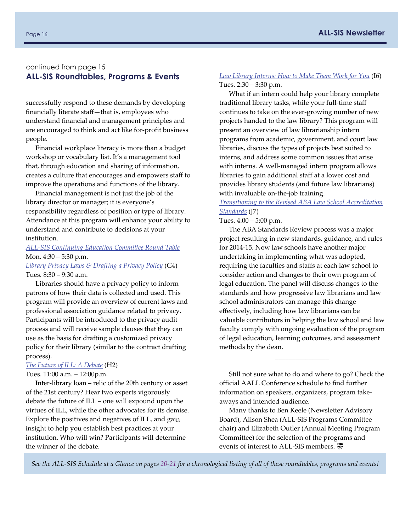#### continued from page 15 **ALL-SIS Roundtables, Programs & Events**

successfully respond to these demands by developing financially literate staff—that is, employees who understand financial and management principles and are encouraged to think and act like for‐profit business people.

Financial workplace literacy is more than a budget workshop or vocabulary list. It's a management tool that, through education and sharing of information, creates a culture that encourages and empowers staff to improve the operations and functions of the library.

Financial management is not just the job of the library director or manager; it is everyone's responsibility regardless of position or type of library. Attendance at this program will enhance your ability to understand and contribute to decisions at your institution.

#### *ALL‐[SIS Continuing Education Commi](http://eventmobi.com/aall2015/agenda/83915/494845)ttee Round Table*  Mon. 4:30 – 5:30 p.m.

#### *[Library Privacy Laws & Drafting a Privacy Policy](http://eventmobi.com/aall2015/agenda/83915/494727)* (G4) Tues. 8:30 – 9:30 a.m.

Libraries should have a privacy policy to inform patrons of how their data is collected and used. This program will provide an overview of current laws and professional association guidance related to privacy. Participants will be introduced to the privacy audit process and will receive sample clauses that they can use as the basis for drafting a customized privacy policy for their library (similar to the contract drafting process).

#### *[The Future of ILL: A Debate](http://eventmobi.com/aall2015/agenda/83915/494733)* (H2)

#### Tues. 11:00 a.m. – 12:00p.m.

Inter‐library loan – relic of the 20th century or asset of the 21st century? Hear two experts vigorously debate the future of ILL – one will expound upon the virtues of ILL, while the other advocates for its demise. Explore the positives and negatives of ILL, and gain insight to help you establish best practices at your institution. Who will win? Participants will determine the winner of the debate.

#### *[Law Library Interns: How to Make Them Work for You](http://eventmobi.com/aall2015/agenda/83915/494744)* (I6) Tues. 2:30 – 3:30 p.m.

What if an intern could help your library complete traditional library tasks, while your full‐time staff continues to take on the ever‐growing number of new projects handed to the law library? This program will present an overview of law librarianship intern programs from academic, government, and court law libraries, discuss the types of projects best suited to interns, and address some common issues that arise with interns. A well-managed intern program allows libraries to gain additional staff at a lower cost and provides library students (and future law librarians) with invaluable on-the-job training.

#### *[Transitioning to the Revised ABA Law School Accreditation](http://eventmobi.com/aall2015/agenda/83915/494753)  [Standards](http://eventmobi.com/aall2015/agenda/83915/494753)* (J7)

#### Tues. 4:00 – 5:00 p.m.

The ABA Standards Review process was a major project resulting in new standards, guidance, and rules for 2014‐15. Now law schools have another major undertaking in implementing what was adopted, requiring the faculties and staffs at each law school to consider action and changes to their own program of legal education. The panel will discuss changes to the standards and how progressive law librarians and law school administrators can manage this change effectively, including how law librarians can be valuable contributors in helping the law school and law faculty comply with ongoing evaluation of the program of legal education, learning outcomes, and assessment methods by the dean.

Still not sure what to do and where to go? Check the official AALL Conference schedule to find further information on speakers, organizers, program take‐ aways and intended audience.

\_\_\_\_\_\_\_\_\_\_\_\_\_\_\_\_

Many thanks to Ben Keele (Newsletter Advisory Board), Alison Shea (ALL‐SIS Programs Committee chair) and Elizabeth Outler (Annual Meeting Program Committee) for the selection of the programs and events of interest to ALL-SIS members.

*See the ALL‐SIS Schedule at a Glance on pages [20](#page-19-0)‐[21](#page-20-0) for a chronological listing of all of these roundtables, programs and events!*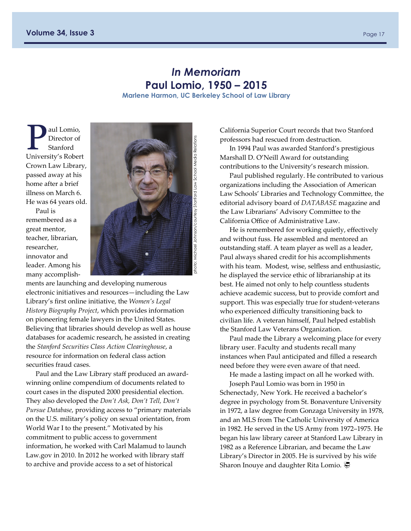# *In Memoriam*  **Paul Lomio, 1950 – 2015**

**Marlene Harmon, UC Berkeley School of Law Library** 

<span id="page-16-0"></span>aul Lomio, Director of Stanford University's Robert Crown Law Library, passed away at his home after a brief illness on March 6. He was 64 years old.

Paul is remembered as a great mentor, teacher, librarian, researcher, innovator and leader. Among his many accomplish‐



ments are launching and developing numerous electronic initiatives and resources—including the Law Library's first online initiative, the *Women's Legal History Biography Project*, which provides information on pioneering female lawyers in the United States. Believing that libraries should develop as well as house databases for academic research, he assisted in creating the *Stanford Securities Class Action Clearinghouse*, a resource for information on federal class action securities fraud cases.

Paul and the Law Library staff produced an award‐ winning online compendium of documents related to court cases in the disputed 2000 presidential election. They also developed the *Don't Ask, Don't Tell, Don't Pursue Database*, providing access to "primary materials on the U.S. military's policy on sexual orientation, from World War I to the present." Motivated by his commitment to public access to government information, he worked with Carl Malamud to launch Law.gov in 2010. In 2012 he worked with library staff to archive and provide access to a set of historical

California Superior Court records that two Stanford professors had rescued from destruction.

In 1994 Paul was awarded Stanford's prestigious Marshall D. O'Neill Award for outstanding contributions to the University's research mission.

Paul published regularly. He contributed to various organizations including the Association of American Law Schools' Libraries and Technology Committee, the editorial advisory board of *DATABASE* magazine and the Law Librarians' Advisory Committee to the California Office of Administrative Law.

He is remembered for working quietly, effectively and without fuss. He assembled and mentored an outstanding staff. A team player as well as a leader, Paul always shared credit for his accomplishments with his team. Modest, wise, selfless and enthusiastic, he displayed the service ethic of librarianship at its best. He aimed not only to help countless students achieve academic success, but to provide comfort and support. This was especially true for student-veterans who experienced difficulty transitioning back to civilian life. A veteran himself, Paul helped establish the Stanford Law Veterans Organization.

Paul made the Library a welcoming place for every library user. Faculty and students recall many instances when Paul anticipated and filled a research need before they were even aware of that need.

He made a lasting impact on all he worked with. Joseph Paul Lomio was born in 1950 in Schenectady, New York. He received a bachelor's

degree in psychology from St. Bonaventure University in 1972, a law degree from Gonzaga University in 1978, and an MLS from The Catholic University of America in 1982. He served in the US Army from 1972–1975. He began his law library career at Stanford Law Library in 1982 as a Reference Librarian, and became the Law Library's Director in 2005. He is survived by his wife Sharon Inouye and daughter Rita Lomio.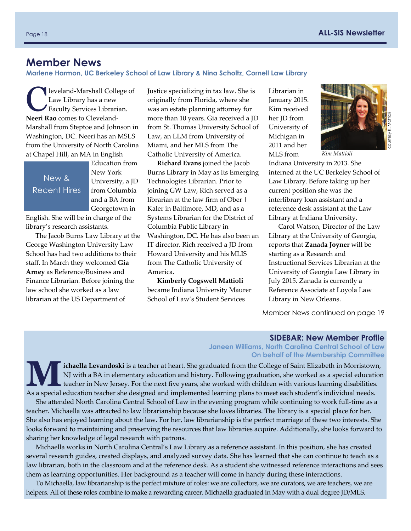# <span id="page-17-0"></span>**Member News**

**Marlene Harmon, UC Berkeley School of Law Library & Nina Scholtz, Cornell Law Library** 

leveland-Marshall College of Law Library has a new Faculty Services Librarian. **Neeri Rao** comes to Cleveland‐ Marshall from Steptoe and Johnson in Washington, DC. Neeri has an MSLS from the University of North Carolina at Chapel Hill, an MA in English

New & Recent Hires Education from New York University, a JD from Columbia and a BA from Georgetown in

English. She will be in charge of the library's research assistants.

The Jacob Burns Law Library at the George Washington University Law School has had two additions to their staff. In March they welcomed **Gia Arney** as Reference/Business and Finance Librarian. Before joining the law school she worked as a law librarian at the US Department of

Justice specializing in tax law. She is originally from Florida, where she was an estate planning attorney for more than 10 years. Gia received a JD from St. Thomas University School of Law, an LLM from University of Miami, and her MLS from The Catholic University of America.

**Richard Evans** joined the Jacob Burns Library in May as its Emerging Technologies Librarian. Prior to joining GW Law, Rich served as a librarian at the law firm of Ober | Kaler in Baltimore, MD, and as a Systems Librarian for the District of Columbia Public Library in Washington, DC. He has also been an IT director. Rich received a JD from Howard University and his MLIS from The Catholic University of America.

**Kimberly Cogswell Mattioli** became Indiana University Maurer School of Law's Student Services

Librarian in January 2015. Kim received her JD from University of Michigan in 2011 and her MLS from



*Kim Mattioli* 

Indiana University in 2013. She interned at the UC Berkeley School of Law Library. Before taking up her current position she was the interlibrary loan assistant and a reference desk assistant at the Law Library at Indiana University.

Carol Watson, Director of the Law Library at the University of Georgia, reports that **Zanada Joyner** will be starting as a Research and Instructional Services Librarian at the University of Georgia Law Library in July 2015. Zanada is currently a Reference Associate at Loyola Law Library in New Orleans.

Member News continued on page 19

#### **SIDEBAR: New Member Profile**

**Janeen Williams, North Carolina Central School of Law On behalf of the Membership Committee** 

Ichaella Levandoski is a teacher at heart. She graduated from the College of Saint Elizabeth in Morristown,<br>NJ with a BA in elementary education and history. Following graduation, she worked as a special education<br>teacher NJ with a BA in elementary education and history. Following graduation, she worked as a special education As a special education teacher she designed and implemented learning plans to meet each student's individual needs.

She attended North Carolina Central School of Law in the evening program while continuing to work full‐time as a teacher. Michaella was attracted to law librarianship because she loves libraries. The library is a special place for her. She also has enjoyed learning about the law. For her, law librarianship is the perfect marriage of these two interests. She looks forward to maintaining and preserving the resources that law libraries acquire. Additionally, she looks forward to sharing her knowledge of legal research with patrons.

Michaella works in North Carolina Central's Law Library as a reference assistant. In this position, she has created several research guides, created displays, and analyzed survey data. She has learned that she can continue to teach as a law librarian, both in the classroom and at the reference desk. As a student she witnessed reference interactions and sees them as learning opportunities. Her background as a teacher will come in handy during these interactions.

To Michaella, law librarianship is the perfect mixture of roles: we are collectors, we are curators, we are teachers, we are helpers. All of these roles combine to make a rewarding career. Michaella graduated in May with a dual degree JD/MLS.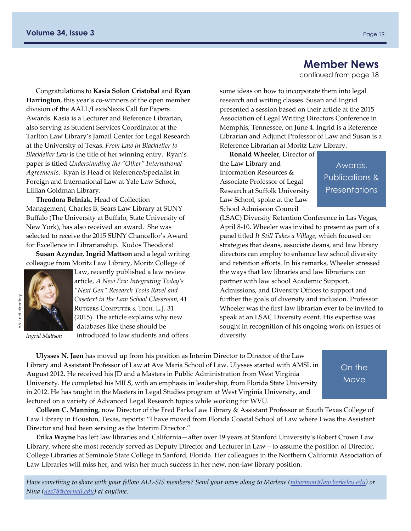# **Member News**

continued from page 18

Congratulations to **Kasia Solon Cristobal** and **Ryan Harrington**, this year's co-winners of the open member division of the AALL/LexisNexis Call for Papers Awards. Kasia is a Lecturer and Reference Librarian, also serving as Student Services Coordinator at the Tarlton Law Library's Jamail Center for Legal Research at the University of Texas. *From Law in Blackletter to Blackletter Law* is the title of her winning entry. Ryan's paper is titled *Understanding the "Other" International Agreements*. Ryan is Head of Reference/Specialist in Foreign and International Law at Yale Law School, Lillian Goldman Library.

**Theodora Belniak**, Head of Collection Management, Charles B. Sears Law Library at SUNY Buffalo (The University at Buffalo, State University of New York), has also received an award. She was selected to receive the 2015 SUNY Chancellor's Award for Excellence in Librarianship. Kudos Theodora!

**Susan Azyndar**, **Ingrid Mattson** and a legal writing colleague from Moritz Law Library, Moritz College of



*Ingrid Mattson* 

Law, recently published a law review article, *A New Era: Integrating Today's "Next Gen" Research Tools Ravel and Casetext in the Law School Classroom*, 41 RUTGERS COMPUTER & TECH. L.J. 31 (2015). The article explains why new databases like these should be introduced to law students and offers some ideas on how to incorporate them into legal research and writing classes. Susan and Ingrid presented a session based on their article at the 2015 Association of Legal Writing Directors Conference in Memphis, Tennessee, on June 4. Ingrid is a Reference Librarian and Adjunct Professor of Law and Susan is a Reference Librarian at Moritz Law Library.

**Ronald Wheeler**, Director of the Law Library and Information Resources & Associate Professor of Legal Research at Suffolk University Law School, spoke at the Law School Admission Council

Awards, Publications & **Presentations** 

(LSAC) Diversity Retention Conference in Las Vegas, April 8‐10. Wheeler was invited to present as part of a panel titled *It Still Takes a Village,* which focused on strategies that deans, associate deans, and law library directors can employ to enhance law school diversity and retention efforts. In his remarks, Wheeler stressed the ways that law libraries and law librarians can partner with law school Academic Support, Admissions, and Diversity Offices to support and further the goals of diversity and inclusion. Professor Wheeler was the first law librarian ever to be invited to speak at an LSAC Diversity event. His expertise was sought in recognition of his ongoing work on issues of diversity.

**Ulysses N. Jaen** has moved up from his position as Interim Director to Director of the Law Library and Assistant Professor of Law at Ave Maria School of Law. Ulysses started with AMSL in August 2012. He received his JD and a Masters in Public Administration from West Virginia University. He completed his MILS, with an emphasis in leadership, from Florida State University in 2012. He has taught in the Masters in Legal Studies program at West Virginia University, and lectured on a variety of Advanced Legal Research topics while working for WVU.

On the Move

**Colleen C. Manning**, now Director of the Fred Parks Law Library & Assistant Professor at South Texas College of Law Library in Houston, Texas, reports: "I have moved from Florida Coastal School of Law where I was the Assistant Director and had been serving as the Interim Director."

**Erika Wayne** has left law libraries and California—after over 19 years at Stanford University's Robert Crown Law Library, where she most recently served as Deputy Director and Lecturer in Law—to assume the position of Director, College Libraries at Seminole State College in Sanford, Florida. Her colleagues in the Northern California Association of Law Libraries will miss her, and wish her much success in her new, non-law library position.

*Have something to share with your fellow ALL‐SIS members? Send your news along to Marlene ([mharmon@law.berkeley.edu\)](mailto:mharmon@law.berkeley.edu) or Nina ([nes78@cornell.edu\)](mailto:nes78@cornell.edu) at anytime.*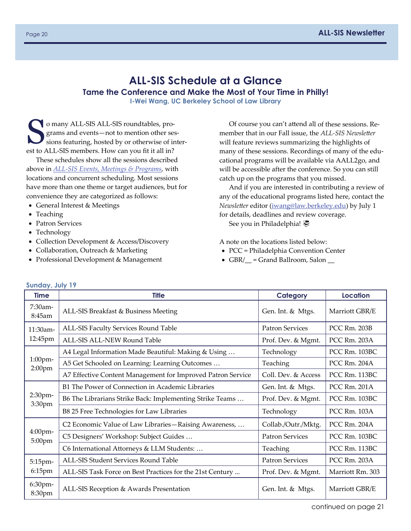# <span id="page-19-0"></span>**ALL-SIS Schedule at a Glance Tame the Conference and Make the Most of Your Time in Philly!**

**I-Wei Wang, UC Berkeley School of Law Library** 

O many ALL-SIS ALL-SIS roundtables, programs and events-not to mention other sessions featuring, hosted by or otherwise of inter‐ est to ALL‐SIS members. How can you fit it all in?

These schedules show all the sessions described above in *ALL‐[SIS Events, Meetings & Programs](#page-9-0)*, with locations and concurrent scheduling. Most sessions have more than one theme or target audiences, but for convenience they are categorized as follows:

- General Interest & Meetings
- Teaching
- Patron Services
- Technology
- Collection Development & Access/Discovery
- Collaboration, Outreach & Marketing
- Professional Development & Management

Of course you can't attend all of these sessions. Re‐ member that in our Fall issue, the *ALL‐SIS Newsletter*  will feature reviews summarizing the highlights of many of these sessions. Recordings of many of the educational programs will be available via AALL2go, and will be accessible after the conference. So you can still catch up on the programs that you missed.

And if you are interested in contributing a review of any of the educational programs listed here, contact the *Newsletter* editor ([iwang@law.berkeley.edu\)](mailto:iwang@law.berkeley.edu) by July 1 for details, deadlines and review coverage.

See you in Philadelphia!

A note on the locations listed below:

- PCC = Philadelphia Convention Center
- $\bullet$  GBR/ $\_\_$  = Grand Ballroom, Salon  $\_\_$

| <b>Time</b>          | <b>Title</b>                                                | Category               | Location            |
|----------------------|-------------------------------------------------------------|------------------------|---------------------|
| 7:30am-<br>8:45am    | ALL-SIS Breakfast & Business Meeting                        | Gen. Int. & Mtgs.      | Marriott GBR/E      |
| 11:30am-<br>12:45pm  | ALL-SIS Faculty Services Round Table                        | Patron Services        | PCC Rm. 203B        |
|                      | ALL-SIS ALL-NEW Round Table                                 | Prof. Dev. & Mgmt.     | PCC Rm. 203A        |
| 1:00pm-<br>$2:00$ pm | A4 Legal Information Made Beautiful: Making & Using         | Technology             | PCC Rm. 103BC       |
|                      | A5 Get Schooled on Learning: Learning Outcomes              | Teaching               | PCC Rm. 204A        |
|                      | A7 Effective Content Management for Improved Patron Service | Coll. Dev. & Access    | PCC Rm. 113BC       |
|                      | B1 The Power of Connection in Academic Libraries            | Gen. Int. & Mtgs.      | PCC Rm. 201A        |
| 2:30pm-<br>3:30pm    | B6 The Librarians Strike Back: Implementing Strike Teams    | Prof. Dev. & Mgmt.     | PCC Rm. 103BC       |
|                      | B8 25 Free Technologies for Law Libraries                   | Technology             | <b>PCC Rm. 103A</b> |
| 4:00pm-<br>5:00pm    | C2 Economic Value of Law Libraries-Raising Awareness,       | Collab./Outr./Mktg.    | PCC Rm. 204A        |
|                      | C5 Designers' Workshop: Subject Guides                      | <b>Patron Services</b> | PCC Rm. 103BC       |
|                      | C6 International Attorneys & LLM Students:                  | Teaching               | PCC Rm. 113BC       |
| 5:15pm-<br>6:15pm    | ALL-SIS Student Services Round Table                        | <b>Patron Services</b> | PCC Rm. 203A        |
|                      | ALL-SIS Task Force on Best Practices for the 21st Century   | Prof. Dev. & Mgmt.     | Marriott Rm. 303    |
| 6:30pm-<br>8:30pm    | ALL-SIS Reception & Awards Presentation                     | Gen. Int. & Mtgs.      | Marriott GBR/E      |

#### **Sunday, July 19**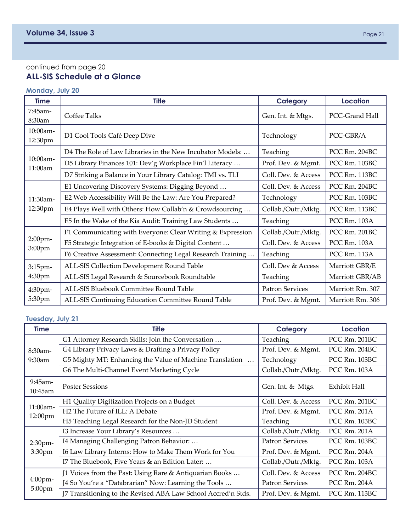## <span id="page-20-0"></span>continued from page 20 **ALL-SIS Schedule at a Glance**

# **Monday, July 20**

| <b>Time</b>         | <b>Title</b>                                               | <b>Category</b>        | <b>Location</b>  |  |
|---------------------|------------------------------------------------------------|------------------------|------------------|--|
| 7:45am-<br>8:30am   | Coffee Talks                                               | Gen. Int. & Mtgs.      | PCC-Grand Hall   |  |
| 10:00am-<br>12:30pm | D1 Cool Tools Café Deep Dive                               | Technology             | PCC-GBR/A        |  |
| 10:00am-<br>11:00am | D4 The Role of Law Libraries in the New Incubator Models:  | Teaching               | PCC Rm. 204BC    |  |
|                     | D5 Library Finances 101: Dev'g Workplace Fin'l Literacy    | Prof. Dev. & Mgmt.     | PCC Rm. 103BC    |  |
|                     | D7 Striking a Balance in Your Library Catalog: TMI vs. TLI | Coll. Dev. & Access    | PCC Rm. 113BC    |  |
|                     | E1 Uncovering Discovery Systems: Digging Beyond            | Coll. Dev. & Access    | PCC Rm. 204BC    |  |
| 11:30am-            | E2 Web Accessibility Will Be the Law: Are You Prepared?    | Technology             | PCC Rm. 103BC    |  |
| 12:30pm             | E4 Plays Well with Others: How Collab'n & Crowdsourcing    | Collab./Outr./Mktg.    | PCC Rm. 113BC    |  |
|                     | E5 In the Wake of the Kia Audit: Training Law Students     | Teaching               | PCC Rm. 103A     |  |
|                     | F1 Communicating with Everyone: Clear Writing & Expression | Collab./Outr./Mktg.    | PCC Rm. 201BC    |  |
| 2:00pm-             | F5 Strategic Integration of E-books & Digital Content      | Coll. Dev. & Access    | PCC Rm. 103A     |  |
| 3:00pm              | F6 Creative Assessment: Connecting Legal Research Training | Teaching               | PCC Rm. 113A     |  |
| 3:15pm-             | ALL-SIS Collection Development Round Table                 | Coll. Dev & Access     | Marriott GBR/E   |  |
| 4:30pm              | ALL-SIS Legal Research & Sourcebook Roundtable             | Teaching               | Marriott GBR/AB  |  |
| 4:30pm-             | ALL-SIS Bluebook Committee Round Table                     | <b>Patron Services</b> | Marriott Rm. 307 |  |
| 5:30pm              | ALL-SIS Continuing Education Committee Round Table         | Prof. Dev. & Mgmt.     | Marriott Rm. 306 |  |

## **Tuesday, July 21**

| <b>Time</b>           | <b>Title</b>                                                  | Category               | Location      |
|-----------------------|---------------------------------------------------------------|------------------------|---------------|
| $8:30$ am-            | G1 Attorney Research Skills: Join the Conversation            | Teaching               | PCC Rm. 201BC |
|                       | G4 Library Privacy Laws & Drafting a Privacy Policy           | Prof. Dev. & Mgmt.     | PCC Rm. 204BC |
| 9:30am                | G5 Mighty MT: Enhancing the Value of Machine Translation      | Technology             | PCC Rm. 103BC |
|                       | G6 The Multi-Channel Event Marketing Cycle                    | Collab./Outr./Mktg.    | PCC Rm. 103A  |
| 9:45am-<br>$10:45$ am | <b>Poster Sessions</b>                                        | Gen. Int. & Mtgs.      | Exhibit Hall  |
| 11:00am-<br>12:00pm   | H1 Quality Digitization Projects on a Budget                  | Coll. Dev. & Access    | PCC Rm. 201BC |
|                       | H <sub>2</sub> The Future of ILL: A Debate                    | Prof. Dev. & Mgmt.     | PCC Rm. 201A  |
|                       | H5 Teaching Legal Research for the Non-JD Student             | Teaching               | PCC Rm. 103BC |
|                       | I3 Increase Your Library's Resources                          | Collab./Outr./Mktg.    | PCC Rm. 201A  |
| 2:30pm-               | I4 Managing Challenging Patron Behavior:                      | <b>Patron Services</b> | PCC Rm. 103BC |
| 3:30 <sub>pm</sub>    | I6 Law Library Interns: How to Make Them Work for You         | Prof. Dev. & Mgmt.     | PCC Rm. 204A  |
|                       | I7 The Bluebook, Five Years & an Edition Later:               | Collab./Outr./Mktg.    | PCC Rm. 103A  |
|                       | J1 Voices from the Past: Using Rare & Antiquarian Books       | Coll. Dev. & Access    | PCC Rm. 204BC |
| $4:00$ pm-            | J4 So You're a "Databrarian" Now: Learning the Tools          | <b>Patron Services</b> | PCC Rm. 204A  |
| 5:00pm                | J7 Transitioning to the Revised ABA Law School Accred'n Stds. | Prof. Dev. & Mgmt.     | PCC Rm. 113BC |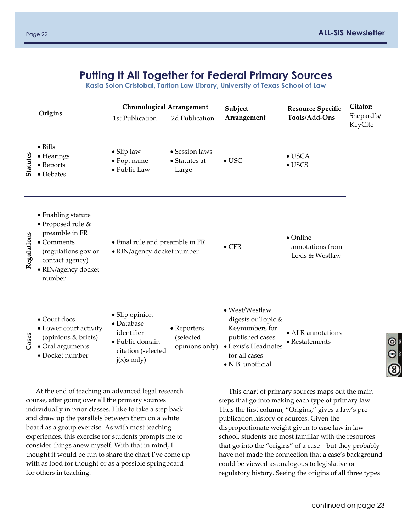# **Putting It All Together for Federal Primary Sources**

**Kasia Solon Cristobal, Tarlton Law Library, University of Texas School of Law** 

<span id="page-21-0"></span>

|                 |                                                                                                                                                    | <b>Chronological Arrangement</b>                                                                     |                                            | Subject                                                                                                                                | <b>Resource Specific</b>                                | Citator:   |
|-----------------|----------------------------------------------------------------------------------------------------------------------------------------------------|------------------------------------------------------------------------------------------------------|--------------------------------------------|----------------------------------------------------------------------------------------------------------------------------------------|---------------------------------------------------------|------------|
|                 | Origins                                                                                                                                            | 1st Publication                                                                                      | 2d Publication                             | Arrangement                                                                                                                            | Tools/Add-Ons                                           | Shepard's/ |
| <b>Statutes</b> | $\bullet$ Bills<br>• Hearings<br>• Reports<br>• Debates                                                                                            | • Slip law<br>· Pop. name<br>• Public Law                                                            | • Session laws<br>• Statutes at<br>Large   | $\bullet$ USC                                                                                                                          | $\bullet$ USCA<br>$\bullet$ USCS                        | KeyCite    |
| Regulations     | • Enabling statute<br>• Proposed rule &<br>preamble in FR<br>• Comments<br>(regulations.gov or<br>contact agency)<br>• RIN/agency docket<br>number | • Final rule and preamble in FR<br>· RIN/agency docket number                                        |                                            | $\bullet$ CFR                                                                                                                          | $\bullet$ Online<br>annotations from<br>Lexis & Westlaw |            |
| Cases           | • Court docs<br>• Lower court activity<br>(opinions & briefs)<br>• Oral arguments<br>• Docket number                                               | · Slip opinion<br>• Database<br>identifier<br>· Public domain<br>citation (selected<br>$j(x)s$ only) | • Reporters<br>(selected<br>opinions only) | • West/Westlaw<br>digests or Topic &<br>Keynumbers for<br>published cases<br>· Lexis's Headnotes<br>for all cases<br>· N.B. unofficial | • ALR annotations<br>$\bullet$ Restatements             |            |

At the end of teaching an advanced legal research course, after going over all the primary sources individually in prior classes, I like to take a step back and draw up the parallels between them on a white board as a group exercise. As with most teaching experiences, this exercise for students prompts me to consider things anew myself. With that in mind, I thought it would be fun to share the chart I've come up with as food for thought or as a possible springboard for others in teaching.

This chart of primary sources maps out the main steps that go into making each type of primary law. Thus the first column, "Origins," gives a law's pre‐ publication history or sources. Given the disproportionate weight given to case law in law school, students are most familiar with the resources that go into the "origins" of a case—but they probably have not made the connection that a case's background could be viewed as analogous to legislative or regulatory history. Seeing the origins of all three types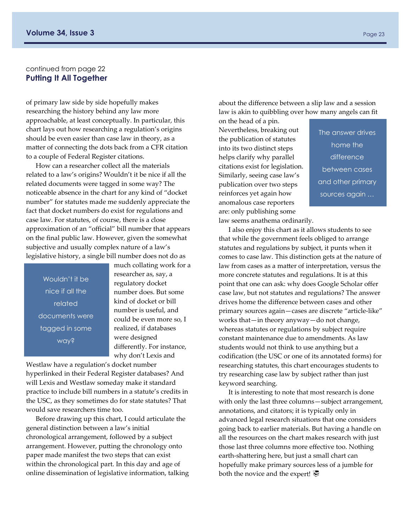#### continued from page 22 **Putting It All Together**

of primary law side by side hopefully makes researching the history behind any law more approachable, at least conceptually. In particular, this chart lays out how researching a regulation's origins should be even easier than case law in theory, as a matter of connecting the dots back from a CFR citation to a couple of Federal Register citations.

How can a researcher collect all the materials related to a law's origins? Wouldn't it be nice if all the related documents were tagged in some way? The noticeable absence in the chart for any kind of "docket number" for statutes made me suddenly appreciate the fact that docket numbers do exist for regulations and case law. For statutes, of course, there is a close approximation of an "official" bill number that appears on the final public law. However, given the somewhat subjective and usually complex nature of a law's legislative history, a single bill number does not do as

Wouldn't it be nice if all the related documents were tagged in some way?

much collating work for a researcher as, say, a regulatory docket number does. But some kind of docket or bill number is useful, and could be even more so, I realized, if databases were designed differently. For instance, why don't Lexis and

Westlaw have a regulation's docket number hyperlinked in their Federal Register databases? And will Lexis and Westlaw someday make it standard practice to include bill numbers in a statute's credits in the USC, as they sometimes do for state statutes? That would save researchers time too.

Before drawing up this chart, I could articulate the general distinction between a law's initial chronological arrangement, followed by a subject arrangement. However, putting the chronology onto paper made manifest the two steps that can exist within the chronological part. In this day and age of online dissemination of legislative information, talking

about the difference between a slip law and a session law is akin to quibbling over how many angels can fit

on the head of a pin. Nevertheless, breaking out the publication of statutes into its two distinct steps helps clarify why parallel citations exist for legislation. Similarly, seeing case law's publication over two steps reinforces yet again how anomalous case reporters are: only publishing some

The answer drives home the difference between cases and other primary sources again …

law seems anathema ordinarily.

I also enjoy this chart as it allows students to see that while the government feels obliged to arrange statutes and regulations by subject, it punts when it comes to case law. This distinction gets at the nature of law from cases as a matter of interpretation, versus the more concrete statutes and regulations. It is at this point that one can ask: why does Google Scholar offer case law, but not statutes and regulations? The answer drives home the difference between cases and other primary sources again—cases are discrete "article‐like" works that—in theory anyway—do not change, whereas statutes or regulations by subject require constant maintenance due to amendments. As law students would not think to use anything but a codification (the USC or one of its annotated forms) for researching statutes, this chart encourages students to try researching case law by subject rather than just keyword searching.

It is interesting to note that most research is done with only the last three columns—subject arrangement, annotations, and citators; it is typically only in advanced legal research situations that one considers going back to earlier materials. But having a handle on all the resources on the chart makes research with just those last three columns more effective too. Nothing earth‐shattering here, but just a small chart can hopefully make primary sources less of a jumble for both the novice and the expert!  $\overline{\mathcal{P}}$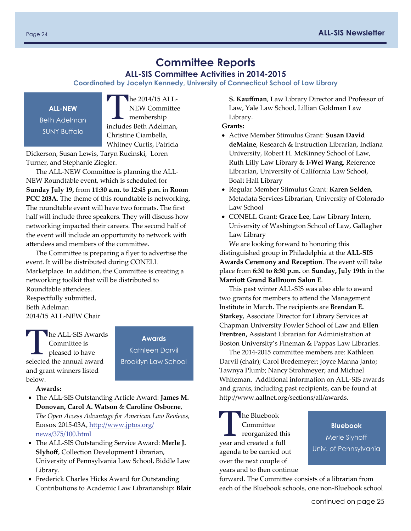**ALL-SIS Committee Activities in 2014-2015** 

<span id="page-23-0"></span>**Coordinated by Jocelyn Kennedy, University of Connecticut School of Law Library** 

**ALL-NEW**  Beth Adelman SUNY Buffalo

The 2014/15 ALL-NEW Committee membership includes Beth Adelman, Christine Ciambella, Whitney Curtis, Patricia

Dickerson, Susan Lewis, Taryn Rucinski, Loren Turner, and Stephanie Ziegler.

The ALL‐NEW Committee is planning the ALL‐ NEW Roundtable event, which is scheduled for **Sunday July 19,** from **11:30 a.m. to 12:45 p.m.** in **Room PCC 203A**. The theme of this roundtable is networking. The roundtable event will have two formats. The first half will include three speakers. They will discuss how networking impacted their careers. The second half of the event will include an opportunity to network with attendees and members of the committee.

The Committee is preparing a flyer to advertise the event. It will be distributed during CONELL Marketplace. In addition, the Committee is creating a networking toolkit that will be distributed to Roundtable attendees. Respectfully submitted, Beth Adelman 2014/15 ALL‐NEW Chair

The ALL-SIS Awards<br>
Committee is<br>
pleased to have Committee is selected the annual award and grant winners listed below.

**Awards** 

Kathleen Darvil Brooklyn Law School

**Awards:**

- The ALL‐SIS Outstanding Article Award: **James M. Donovan, Carol A. Watson** & **Caroline Osborne**, *The Open Access Advantage for American Law Reviews,*  Edison 2015‐03A, htt[p://www.jptos.org/](http://www.jptos.org/news/375/100.html) [news/375/100.html](http://www.jptos.org/news/375/100.html)
- The ALL‐SIS Outstanding Service Award: **Merle J. Slyhoff**, Collection Development Librarian, University of Pennsylvania Law School, Biddle Law Library.
- Frederick Charles Hicks Award for Outstanding Contributions to Academic Law Librarianship: **Blair**

**S. Kauffman**, Law Library Director and Professor of Law, Yale Law School, Lillian Goldman Law Library.

**Grants:**

- Active Member Stimulus Grant: **Susan David deMaine**, Research & Instruction Librarian, Indiana University, Robert H. McKinney School of Law, Ruth Lilly Law Library & **I‐Wei Wang**, Reference Librarian, University of California Law School, Boalt Hall Library
- Regular Member Stimulus Grant: **Karen Selden**, Metadata Services Librarian, University of Colorado Law School
- CONELL Grant: **Grace Lee**, Law Library Intern, University of Washington School of Law, Gallagher Law Library

We are looking forward to honoring this distinguished group in Philadelphia at the **ALL‐SIS Awards Ceremony and Reception**. The event will take place from **6:30 to 8:30 p.m.** on **Sunday, July 19th** in the **Marriott Grand Ballroom Salon E**.

This past winter ALL‐SIS was also able to award two grants for members to attend the Management Institute in March. The recipients are **Brendan E. Starkey***,* Associate Director for Library Services at Chapman University Fowler School of Law and **Ellen Frentzen,** Assistant Librarian for Administration at Boston University's Fineman & Pappas Law Libraries.

The 2014‐2015 committee members are: Kathleen Darvil (chair); Carol Bredemeyer; Joyce Manna Janto; Tawnya Plumb; Nancy Strohmeyer; and Michael Whiteman. Additional information on ALL‐SIS awards and grants, including past recipients, can be found at http://www.aallnet.org/sections/all/awards.

**N** he Bluebook Committee reorganized this year and created a full agenda to be carried out over the next couple of years and to then continue

**Bluebook**  Merle Slyhoff Univ. of Pennsylvania

forward. The Committee consists of a librarian from each of the Bluebook schools, one non‐Bluebook school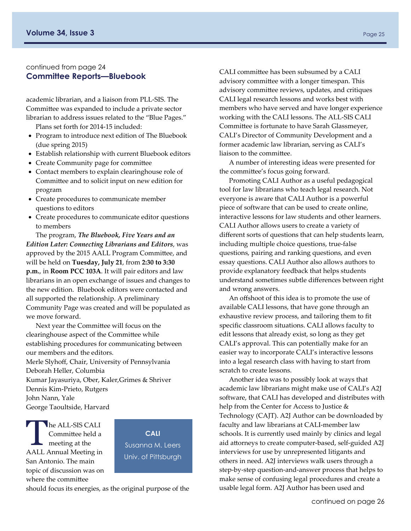#### continued from page 24 **Committee Reports—Bluebook**

academic librarian, and a liaison from PLL‐SIS. The Committee was expanded to include a private sector librarian to address issues related to the "Blue Pages."

Plans set forth for 2014‐15 included:

- Program to introduce next edition of The Bluebook (due spring 2015)
- Establish relationship with current Bluebook editors
- Create Community page for committee
- Contact members to explain clearinghouse role of Committee and to solicit input on new edition for program
- Create procedures to communicate member questions to editors
- Create procedures to communicate editor questions to members

The program, *The Bluebook, Five Years and an Edition Later: Connecting Librarians and Editors*, was approved by the 2015 AALL Program Committee, and will be held on **Tuesday, July 21**, from **2:30 to 3:30 p.m.**, in **Room PCC 103A**. It will pair editors and law librarians in an open exchange of issues and changes to the new edition. Bluebook editors were contacted and all supported the relationship. A preliminary Community Page was created and will be populated as we move forward.

Next year the Committee will focus on the clearinghouse aspect of the Committee while establishing procedures for communicating between our members and the editors. Merle Slyhoff, Chair, University of Pennsylvania Deborah Heller, Columbia Kumar Jayasuriya, Ober, Kaler,Grimes & Shriver Dennis Kim‐Prieto, Rutgers John Nann, Yale George Taoultside, Harvard

he ALL-SIS CALI Committee held a meeting at the AALL Annual Meeting in San Antonio. The main topic of discussion was on where the committee

**CALI**  Susanna M. Leers Univ. of Pittsburgh

should focus its energies, as the original purpose of the

CALI committee has been subsumed by a CALI advisory committee with a longer timespan. This advisory committee reviews, updates, and critiques CALI legal research lessons and works best with members who have served and have longer experience working with the CALI lessons. The ALL‐SIS CALI Committee is fortunate to have Sarah Glassmeyer, CALI's Director of Community Development and a former academic law librarian, serving as CALI's liaison to the committee.

A number of interesting ideas were presented for the committee's focus going forward.

Promoting CALI Author as a useful pedagogical tool for law librarians who teach legal research. Not everyone is aware that CALI Author is a powerful piece of software that can be used to create online, interactive lessons for law students and other learners. CALI Author allows users to create a variety of different sorts of questions that can help students learn, including multiple choice questions, true‐false questions, pairing and ranking questions, and even essay questions. CALI Author also allows authors to provide explanatory feedback that helps students understand sometimes subtle differences between right and wrong answers.

An offshoot of this idea is to promote the use of available CALI lessons, that have gone through an exhaustive review process, and tailoring them to fit specific classroom situations. CALI allows faculty to edit lessons that already exist, so long as they get CALI's approval. This can potentially make for an easier way to incorporate CALI's interactive lessons into a legal research class with having to start from scratch to create lessons.

Another idea was to possibly look at ways that academic law librarians might make use of CALI's A2J software, that CALI has developed and distributes with help from the Center for Access to Justice & Technology (CAJT). A2J Author can be downloaded by faculty and law librarians at CALI‐member law schools. It is currently used mainly by clinics and legal aid attorneys to create computer‐based, self‐guided A2J interviews for use by unrepresented litigants and others in need. A2J interviews walk users through a step‐by‐step question‐and‐answer process that helps to make sense of confusing legal procedures and create a usable legal form. A2J Author has been used and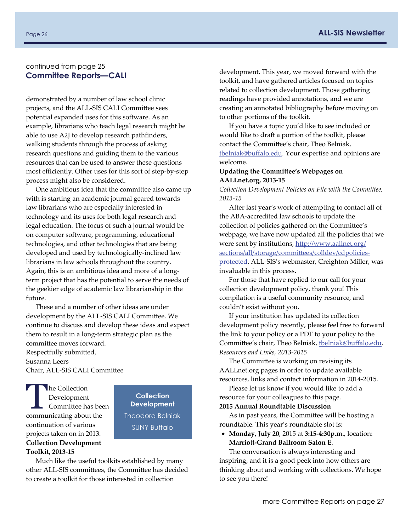#### continued from page 25 **Committee Reports—CALI**

demonstrated by a number of law school clinic projects, and the ALL‐SIS CALI Committee sees potential expanded uses for this software. As an example, librarians who teach legal research might be able to use A2J to develop research pathfinders, walking students through the process of asking research questions and guiding them to the various resources that can be used to answer these questions most efficiently. Other uses for this sort of step‐by‐step process might also be considered.

One ambitious idea that the committee also came up with is starting an academic journal geared towards law librarians who are especially interested in technology and its uses for both legal research and legal education. The focus of such a journal would be on computer software, programming, educational technologies, and other technologies that are being developed and used by technologically‐inclined law librarians in law schools throughout the country. Again, this is an ambitious idea and more of a long‐ term project that has the potential to serve the needs of the geekier edge of academic law librarianship in the future.

These and a number of other ideas are under development by the ALL‐SIS CALI Committee. We continue to discuss and develop these ideas and expect them to result in a long‐term strategic plan as the committee moves forward. Respectfully submitted, Susanna Leers Chair, ALL‐SIS CALI Committee

The Collection<br>Development<br>Committee has Development Committee has been communicating about the continuation of various projects taken on in 2013. **Collection Development Toolkit, 2013‐15**

**Collection Development**  Theodora Belniak SUNY Buffalo

Much like the useful toolkits established by many other ALL‐SIS committees, the Committee has decided to create a toolkit for those interested in collection

development. This year, we moved forward with the toolkit, and have gathered articles focused on topics related to collection development. Those gathering readings have provided annotations, and we are creating an annotated bibliography before moving on to other portions of the toolkit.

If you have a topic you'd like to see included or would like to draft a portion of the toolkit, please contact the Committee's chair, Theo Belniak, [tbelniak@bu](mailto:tbelniak@buffalo.edu)ffalo.edu. Your expertise and opinions are welcome.

#### **Updating the Committee's Webpages on AALLnet.org, 2013‐15**

*Collection Development Policies on File with the Committee, 2013‐15* 

After last year's work of attempting to contact all of the ABA‐accredited law schools to update the collection of policies gathered on the Committee's webpage, we have now updated all the policies that we were sent by institutions, htt[p://www.aallnet.org/](http://www.aallnet.org/sections/all/storage/committees/colldev/cdpolicies-protected) [sections/all/storage/commi](http://www.aallnet.org/sections/all/storage/committees/colldev/cdpolicies-protected)ttees/colldev/cdpolicies‐ [protected](http://www.aallnet.org/sections/all/storage/committees/colldev/cdpolicies-protected). ALL‐SIS's webmaster, Creighton Miller, was invaluable in this process.

For those that have replied to our call for your collection development policy, thank you! This compilation is a useful community resource, and couldn't exist without you.

If your institution has updated its collection development policy recently, please feel free to forward the link to your policy or a PDF to your policy to the Committee's chair, Theo Belniak, thelniak@buffalo.edu. *Resources and Links, 2013‐2015* 

The Committee is working on revising its AALLnet.org pages in order to update available resources, links and contact information in 2014‐2015.

Please let us know if you would like to add a resource for your colleagues to this page.

#### **2015 Annual Roundtable Discussion**

As in past years, the Committee will be hosting a roundtable. This year's roundtable slot is:

 **Monday, July 20**, 2015 at **3:15‐4:30p.m.**, location: **Marriott‐Grand Ballroom Salon E**.

The conversation is always interesting and inspiring, and it is a good peek into how others are thinking about and working with collections. We hope to see you there!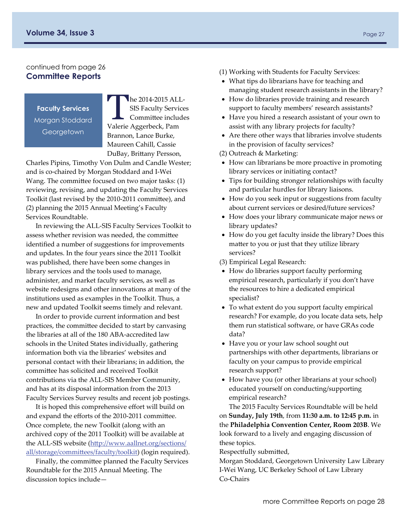#### <span id="page-26-0"></span>continued from page 26 **Committee Reports**

**Faculty Services**  Morgan Stoddard **Georgetown** 

The 2014-2015 ALL-SIS Faculty Services Committee includes Valerie Aggerbeck, Pam Brannon, Lance Burke, Maureen Cahill, Cassie DuBay, Brittany Persson,

Charles Pipins, Timothy Von Dulm and Candle Wester; and is co‐chaired by Morgan Stoddard and I‐Wei Wang. The committee focused on two major tasks: (1) reviewing, revising, and updating the Faculty Services Toolkit (last revised by the 2010‐2011 committee), and (2) planning the 2015 Annual Meeting's Faculty Services Roundtable.

In reviewing the ALL‐SIS Faculty Services Toolkit to assess whether revision was needed, the committee identified a number of suggestions for improvements and updates. In the four years since the 2011 Toolkit was published, there have been some changes in library services and the tools used to manage, administer, and market faculty services, as well as website redesigns and other innovations at many of the institutions used as examples in the Toolkit. Thus, a new and updated Toolkit seems timely and relevant.

In order to provide current information and best practices, the committee decided to start by canvasing the libraries at all of the 180 ABA‐accredited law schools in the United States individually, gathering information both via the libraries' websites and personal contact with their librarians; in addition, the committee has solicited and received Toolkit contributions via the ALL‐SIS Member Community, and has at its disposal information from the 2013 Faculty Services Survey results and recent job postings.

It is hoped this comprehensive effort will build on and expand the efforts of the 2010‐2011 committee. Once complete, the new Toolkit (along with an archived copy of the 2011 Toolkit) will be available at the ALL‐SIS website (htt[p://www.aallnet.org/sections/](http://www.aallnet.org/sections/all/storage/committees/faculty/toolkit) [all/storage/commi](http://www.aallnet.org/sections/all/storage/committees/faculty/toolkit)ttees/faculty/toolkit) (login required).

Finally, the committee planned the Faculty Services Roundtable for the 2015 Annual Meeting. The discussion topics include—

- (1) Working with Students for Faculty Services:
- What tips do librarians have for teaching and managing student research assistants in the library?
- How do libraries provide training and research support to faculty members' research assistants?
- Have you hired a research assistant of your own to assist with any library projects for faculty?
- Are there other ways that libraries involve students in the provision of faculty services?

(2) Outreach & Marketing:

- How can librarians be more proactive in promoting library services or initiating contact?
- Tips for building stronger relationships with faculty and particular hurdles for library liaisons.
- How do you seek input or suggestions from faculty about current services or desired/future services?
- How does your library communicate major news or library updates?
- How do you get faculty inside the library? Does this matter to you or just that they utilize library services?
- (3) Empirical Legal Research:
- How do libraries support faculty performing empirical research, particularly if you don't have the resources to hire a dedicated empirical specialist?
- To what extent do you support faculty empirical research? For example, do you locate data sets, help them run statistical software, or have GRAs code data?
- Have you or your law school sought out partnerships with other departments, librarians or faculty on your campus to provide empirical research support?
- How have you (or other librarians at your school) educated yourself on conducting/supporting empirical research?

The 2015 Faculty Services Roundtable will be held on **Sunday, July 19th**, from **11:30 a.m. to 12:45 p.m.** in the **Philadelphia Convention Center, Room 203B**. We look forward to a lively and engaging discussion of these topics.

Respectfully submitted,

Morgan Stoddard, Georgetown University Law Library I‐Wei Wang, UC Berkeley School of Law Library Co‐Chairs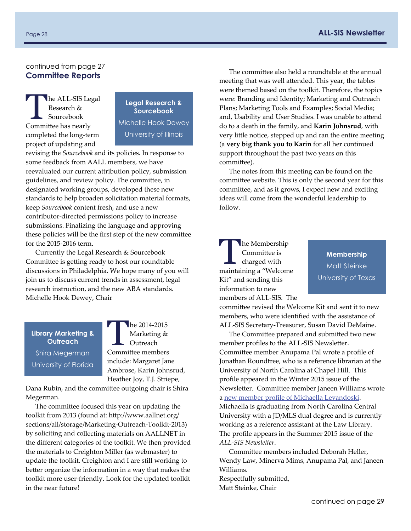#### <span id="page-27-0"></span>continued from page 27 **Committee Reports**

he ALL-SIS Legal Research & Sourcebook Committee has nearly completed the long‐term project of updating and

**Legal Research & Sourcebook**  Michelle Hook Dewey University of Illinois

revising the *Sourcebook* and its policies. In response to some feedback from AALL members, we have reevaluated our current attribution policy, submission guidelines, and review policy. The committee, in designated working groups, developed these new standards to help broaden solicitation material formats, keep *Sourcebook* content fresh, and use a new contributor‐directed permissions policy to increase submissions. Finalizing the language and approving these policies will be the first step of the new committee for the 2015‐2016 term.

Currently the Legal Research & Sourcebook Committee is getting ready to host our roundtable discussions in Philadelphia. We hope many of you will join us to discuss current trends in assessment, legal research instruction, and the new ABA standards. Michelle Hook Dewey, Chair

# **Library Marketing & Outreach**  Shira Megerman University of Florida

 $he$  2014-2015 Marketing & Outreach Committee members include: Margaret Jane Ambrose, Karin Johnsrud, Heather Joy, T.J. Striepe,

Dana Rubin, and the committee outgoing chair is Shira Megerman.

The committee focused this year on updating the toolkit from 2013 (found at: http://www.aallnet.org/ sections/all/storage/Marketing‐Outreach‐Toolkit‐2013) by soliciting and collecting materials on AALLNET in the different categories of the toolkit. We then provided the materials to Creighton Miller (as webmaster) to update the toolkit. Creighton and I are still working to better organize the information in a way that makes the toolkit more user‐friendly. Look for the updated toolkit in the near future!

The committee also held a roundtable at the annual meeting that was well attended. This year, the tables were themed based on the toolkit. Therefore, the topics were: Branding and Identity; Marketing and Outreach Plans; Marketing Tools and Examples; Social Media; and, Usability and User Studies. I was unable to attend do to a death in the family, and **Karin Johnsrud**, with very little notice, stepped up and ran the entire meeting (a **very big thank you to Karin** for all her continued support throughout the past two years on this committee).

The notes from this meeting can be found on the committee website. This is only the second year for this committee, and as it grows, I expect new and exciting ideas will come from the wonderful leadership to follow.

#### **he Membership** Committee is charged with maintaining a "Welcome Kit" and sending this information to new members of ALL‐SIS. The

**Membership**  Matt Steinke University of Texas

committee revised the Welcome Kit and sent it to new members, who were identified with the assistance of ALL‐SIS Secretary‐Treasurer, Susan David DeMaine.

The Committee prepared and submitted two new member profiles to the ALL‐SIS Newsletter. Committee member Anupama Pal wrote a profile of Jonathan Roundtree, who is a reference librarian at the University of North Carolina at Chapel Hill. This profile appeared in the Winter 2015 issue of the Newsletter. Committee member Janeen Williams wrote a new member profile of Michaella [Levandoski.](#page-17-0) Michaella is graduating from North Carolina Central University with a JD/MLS dual degree and is currently working as a reference assistant at the Law Library. The profile appears in the Summer 2015 issue of the *ALL‐SIS Newsletter*.

Committee members included Deborah Heller, Wendy Law, Minerva Mims, Anupama Pal, and Janeen Williams.

Respectfully submitted, Matt Steinke, Chair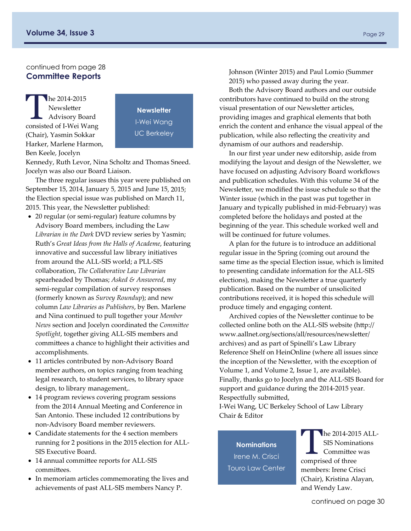#### continued from page 28 **Committee Reports**

The 2014-2015<br>
Newsletter<br>
Advisory Board<br>
Represented of UMai Ware Newsletter consisted of I‐Wei Wang (Chair), Yasmin Sokkar Harker, Marlene Harmon, Ben Keele, Jocelyn

**Newsletter**  I-Wei Wang UC Berkeley

Kennedy, Ruth Levor, Nina Scholtz and Thomas Sneed. Jocelyn was also our Board Liaison.

The three regular issues this year were published on September 15, 2014, January 5, 2015 and June 15, 2015; the Election special issue was published on March 11, 2015. This year, the Newsletter published:

- 20 regular (or semi-regular) feature columns by Advisory Board members, including the Law *Librarian in the Dark* DVD review series by Yasmin; Ruth's *Great Ideas from the Halls of Academe*, featuring innovative and successful law library initiatives from around the ALL‐SIS world; a PLL‐SIS collaboration, *The Collaborative Law Librarian*  spearheaded by Thomas; *Asked & Answered*, my semi-regular compilation of survey responses (formerly known as *Survey Roundup*); and new column *Law Libraries as Publishers*, by Ben. Marlene and Nina continued to pull together your *Member News* section and Jocelyn coordinated the *Committee Spotlight*, together giving ALL‐SIS members and committees a chance to highlight their activities and accomplishments.
- 11 articles contributed by non‐Advisory Board member authors, on topics ranging from teaching legal research, to student services, to library space design, to library management,.
- 14 program reviews covering program sessions from the 2014 Annual Meeting and Conference in San Antonio. These included 12 contributions by non‐Advisory Board member reviewers.
- Candidate statements for the 4 section members running for 2 positions in the 2015 election for ALL‐ SIS Executive Board.
- 14 annual committee reports for ALL‐SIS committees.
- In memoriam articles commemorating the lives and achievements of past ALL‐SIS members Nancy P.

Johnson (Winter 2015) and Paul Lomio (Summer 2015) who passed away during the year.

Both the Advisory Board authors and our outside contributors have continued to build on the strong visual presentation of our Newsletter articles, providing images and graphical elements that both enrich the content and enhance the visual appeal of the publication, while also reflecting the creativity and dynamism of our authors and readership.

In our first year under new editorship, aside from modifying the layout and design of the Newsletter, we have focused on adjusting Advisory Board workflows and publication schedules. With this volume 34 of the Newsletter, we modified the issue schedule so that the Winter issue (which in the past was put together in January and typically published in mid‐February) was completed before the holidays and posted at the beginning of the year. This schedule worked well and will be continued for future volumes.

A plan for the future is to introduce an additional regular issue in the Spring (coming out around the same time as the special Election issue, which is limited to presenting candidate information for the ALL‐SIS elections), making the Newsletter a true quarterly publication. Based on the number of unsolicited contributions received, it is hoped this schedule will produce timely and engaging content.

Archived copies of the Newsletter continue to be collected online both on the ALL‐SIS website (http:// www.aallnet.org/sections/all/resources/newsletter/ archives) and as part of Spinelli's Law Library Reference Shelf on HeinOnline (where all issues since the inception of the Newsletter, with the exception of Volume 1, and Volume 2, Issue 1, are available). Finally, thanks go to Jocelyn and the ALL‐SIS Board for support and guidance during the 2014‐2015 year. Respectfully submitted,

I‐Wei Wang, UC Berkeley School of Law Library Chair & Editor

**Nominations**  Irene M. Crisci Touro Law Center

he 2014-2015 ALL-SIS Nominations Committee was comprised of three members: Irene Crisci (Chair), Kristina Alayan, and Wendy Law.

continued on page 30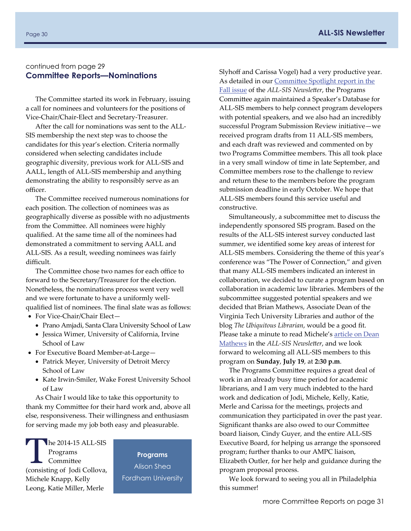#### continued from page 29 **Committee Reports—Nominations**

The Committee started its work in February, issuing a call for nominees and volunteers for the positions of Vice‐Chair/Chair‐Elect and Secretary‐Treasurer.

After the call for nominations was sent to the ALL‐ SIS membership the next step was to choose the candidates for this year's election. Criteria normally considered when selecting candidates include geographic diversity, previous work for ALL‐SIS and AALL, length of ALL‐SIS membership and anything demonstrating the ability to responsibly serve as an officer.

The Committee received numerous nominations for each position. The collection of nominees was as geographically diverse as possible with no adjustments from the Committee. All nominees were highly qualified. At the same time all of the nominees had demonstrated a commitment to serving AALL and ALL‐SIS. As a result, weeding nominees was fairly difficult.

The Committee chose two names for each office to forward to the Secretary/Treasurer for the election. Nonetheless, the nominations process went very well and we were fortunate to have a uniformly well‐ qualified list of nominees. The final slate was as follows:

- For Vice-Chair/Chair Elect-
	- Prano Amjadi, Santa Clara University School of Law
	- Jessica Wimer, University of California, Irvine School of Law
- For Executive Board Member‐at‐Large—
	- Patrick Meyer, University of Detroit Mercy School of Law
	- Kate Irwin-Smiler, Wake Forest University School of Law

As Chair I would like to take this opportunity to thank my Committee for their hard work and, above all else, responsiveness. Their willingness and enthusiasm for serving made my job both easy and pleasurable.

 $the 2014-15 ALL-SIS$ Programs **Committee** (consisting of Jodi Collova, Michele Knapp, Kelly Leong, Katie Miller, Merle

**Programs**  Alison Shea Fordham University Slyhoff and Carissa Vogel) had a very productive year. As detailed in our **Committee [Spotlight](http://www.aallnet.org/sections/all/resources/newsletter/archives/34-1.pdf%20-%207) report in the** Fall [issue](http://www.aallnet.org/sections/all/resources/newsletter/archives/34-1.pdf%20-%207) of the *ALL‐SIS Newsletter*, the Programs Committee again maintained a Speaker's Database for ALL‐SIS members to help connect program developers with potential speakers, and we also had an incredibly successful Program Submission Review initiative—we received program drafts from 11 ALL‐SIS members, and each draft was reviewed and commented on by two Programs Committee members. This all took place in a very small window of time in late September, and Committee members rose to the challenge to review and return these to the members before the program submission deadline in early October. We hope that ALL‐SIS members found this service useful and constructive.

Simultaneously, a subcommittee met to discuss the independently sponsored SIS program. Based on the results of the ALL‐SIS interest survey conducted last summer, we identified some key areas of interest for ALL‐SIS members. Considering the theme of this year's conference was "The Power of Connection," and given that many ALL‐SIS members indicated an interest in collaboration, we decided to curate a program based on collaboration in academic law libraries. Members of the subcommittee suggested potential speakers and we decided that Brian Mathews, Associate Dean of the Virginia Tech University Libraries and author of the blog *The Ubiquitous Librarian*, would be a good fit. Please take a minute to read Michele's [article](#page-1-0) on Dean [Mathews](#page-1-0) in the *ALL‐SIS Newsletter*, and we look forward to welcoming all ALL‐SIS members to this program on **Sunday**, **July 19**, at **2:30 p.m**.

The Programs Committee requires a great deal of work in an already busy time period for academic librarians, and I am very much indebted to the hard work and dedication of Jodi, Michele, Kelly, Katie, Merle and Carissa for the meetings, projects and communication they participated in over the past year. Significant thanks are also owed to our Committee board liaison, Cindy Guyer, and the entire ALL‐SIS Executive Board, for helping us arrange the sponsored program; further thanks to our AMPC liaison, Elizabeth Outler, for her help and guidance during the program proposal process.

We look forward to seeing you all in Philadelphia this summer!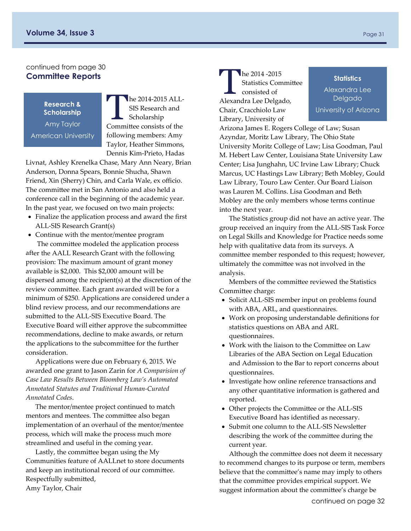#### continued from page 30 **Committee Reports**

**Research & Scholarship**  Amy Taylor American University

The 2014-2015 ALL-SIS Research and Scholarship Committee consists of the following members: Amy Taylor, Heather Simmons, Dennis Kim‐Prieto, Hadas

Livnat, Ashley Krenelka Chase, Mary Ann Neary, Brian Anderson, Donna Spears, Bonnie Shucha, Shawn Friend, Xin (Sherry) Chin, and Carla Wale, ex officio. The committee met in San Antonio and also held a conference call in the beginning of the academic year. In the past year, we focused on two main projects:

- Finalize the application process and award the first ALL‐SIS Research Grant(s)
- Continue with the mentor/mentee program The committee modeled the application process

after the AALL Research Grant with the following provision: The maximum amount of grant money available is \$2,000. This \$2,000 amount will be dispersed among the recipient(s) at the discretion of the review committee. Each grant awarded will be for a minimum of \$250. Applications are considered under a blind review process, and our recommendations are submitted to the ALL‐SIS Executive Board. The Executive Board will either approve the subcommittee recommendations, decline to make awards, or return the applications to the subcommittee for the further consideration.

Applications were due on February 6, 2015. We awarded one grant to Jason Zarin for *A Comparision of Case Law Results Between Bloomberg Law's Automated Annotated Statutes and Traditional Human‐Curated Annotated Codes*.

The mentor/mentee project continued to match mentors and mentees. The committee also began implementation of an overhaul of the mentor/mentee process, which will make the process much more streamlined and useful in the coming year.

Lastly, the committee began using the My Communities feature of AALLnet to store documents and keep an institutional record of our committee. Respectfully submitted, Amy Taylor, Chair

 $\ln 2014 - 2015$ Statistics Committee consisted of Alexandra Lee Delgado, Chair, Cracchiolo Law Library, University of

into the next year.

**Statistics** 

Alexandra Lee Delgado University of Arizona

Arizona James E. Rogers College of Law; Susan Azyndar, Moritz Law Library, The Ohio State University Moritz College of Law; Lisa Goodman, Paul M. Hebert Law Center, Louisiana State University Law Center; Lisa Junghahn, UC Irvine Law Library; Chuck Marcus, UC Hastings Law Library; Beth Mobley, Gould Law Library, Touro Law Center. Our Board Liaison was Lauren M. Collins. Lisa Goodman and Beth Mobley are the only members whose terms continue

The Statistics group did not have an active year. The group received an inquiry from the ALL‐SIS Task Force on Legal Skills and Knowledge for Practice needs some help with qualitative data from its surveys. A committee member responded to this request; however, ultimately the committee was not involved in the analysis.

Members of the committee reviewed the Statistics Committee charge:

- Solicit ALL-SIS member input on problems found with ABA, ARL, and questionnaires.
- Work on proposing understandable definitions for statistics questions on ABA and ARL questionnaires.
- Work with the liaison to the Committee on Law Libraries of the ABA Section on Legal Education and Admission to the Bar to report concerns about questionnaires.
- Investigate how online reference transactions and any other quantitative information is gathered and reported.
- Other projects the Committee or the ALL-SIS Executive Board has identified as necessary.
- Submit one column to the ALL-SIS Newsletter describing the work of the committee during the current year.

Although the committee does not deem it necessary to recommend changes to its purpose or term, members believe that the committee's name may imply to others that the committee provides empirical support. We suggest information about the committee's charge be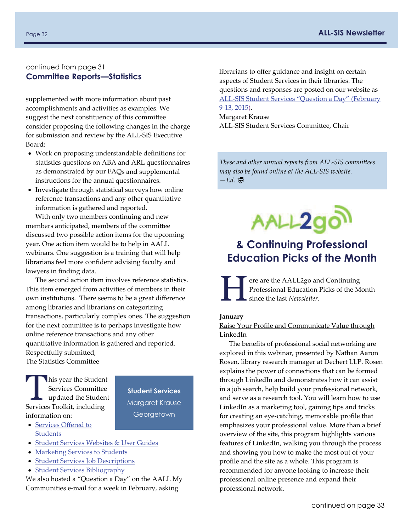#### <span id="page-31-0"></span>continued from page 31 **Committee Reports—Statistics**

supplemented with more information about past accomplishments and activities as examples. We suggest the next constituency of this committee consider proposing the following changes in the charge for submission and review by the ALL‐SIS Executive Board:

- Work on proposing understandable definitions for statistics questions on ABA and ARL questionnaires as demonstrated by our FAQs and supplemental instructions for the annual questionnaires.
- Investigate through statistical surveys how online reference transactions and any other quantitative information is gathered and reported.

With only two members continuing and new members anticipated, members of the committee discussed two possible action items for the upcoming year. One action item would be to help in AALL webinars. One suggestion is a training that will help librarians feel more confident advising faculty and lawyers in finding data.

The second action item involves reference statistics. This item emerged from activities of members in their own institutions. There seems to be a great difference among libraries and librarians on categorizing transactions, particularly complex ones. The suggestion for the next committee is to perhaps investigate how online reference transactions and any other quantitative information is gathered and reported. Respectfully submitted, The Statistics Committee

This year the Student<br>
Services Committee<br>
Services Teallith including Services Committee Services Toolkit, including information on:

**Student Services**  Margaret Krause **Georgetown** 

- [Services](http://www.aallnet.org/sections/all/storage/committees/students/Student-Services-Toolkit/toolkit1-services.pdf) Offered to **[Students](http://www.aallnet.org/sections/all/storage/committees/students/Student-Services-Toolkit/toolkit1-services.pdf)**
- Student Services [Websites](http://www.aallnet.org/sections/all/storage/committees/students/projects/websites-and-user-guides.html) & User Guides
- [Marketing](http://www.aallnet.org/sections/all/storage/committees/students/Student-Services-Toolkit/toolkit3-marketing.pdf) Services to Students
- Student Services Job [Descriptions](http://www.aallnet.org/sections/all/storage/committees/students/Student-Services-Toolkit/toolkit4-jobs.pdf)
- Student Services [Bibliography](http://www.aallnet.org/sections/all/storage/committees/students/Student-Services-Toolkit/toolkit5-bib.pdf)

We also hosted a "Question a Day" on the AALL My Communities e‐mail for a week in February, asking

librarians to offer guidance and insight on certain aspects of Student Services in their libraries. The questions and responses are posted on our website as ALL‐SIS Student Services ["Question](http://www.aallnet.org/sections/all/storage/committees/students/projects/ALL-SIS-Student-Services-Question-a-Day-February-9-13-2015.pdf) a Day" (February 9‐13, [2015\)](http://www.aallnet.org/sections/all/storage/committees/students/projects/ALL-SIS-Student-Services-Question-a-Day-February-9-13-2015.pdf). Margaret Krause

ALL‐SIS Student Services Committee, Chair

*These and other annual reports from ALL‐SIS committees may also be found online at the ALL‐SIS website.*   $-Ed.$ 



# **& Continuing Professional Education Picks of the Month**

ere are the AALL2go and Continuing Professional Education Picks of the Month since the last *Newsletter*.

#### **January**

Raise Your Profile and [Communicate](http://aall.sclivelearningcenter.com/index.aspx?PID=6278&SID=189160) Value through [LinkedIn](http://aall.sclivelearningcenter.com/index.aspx?PID=6278&SID=189160)

The benefits of professional social networking are explored in this webinar, presented by Nathan Aaron Rosen, library research manager at Dechert LLP. Rosen explains the power of connections that can be formed through LinkedIn and demonstrates how it can assist in a job search, help build your professional network, and serve as a research tool. You will learn how to use LinkedIn as a marketing tool, gaining tips and tricks for creating an eye‐catching, memorable profile that emphasizes your professional value. More than a brief overview of the site, this program highlights various features of LinkedIn, walking you through the process and showing you how to make the most out of your profile and the site as a whole. This program is recommended for anyone looking to increase their professional online presence and expand their professional network.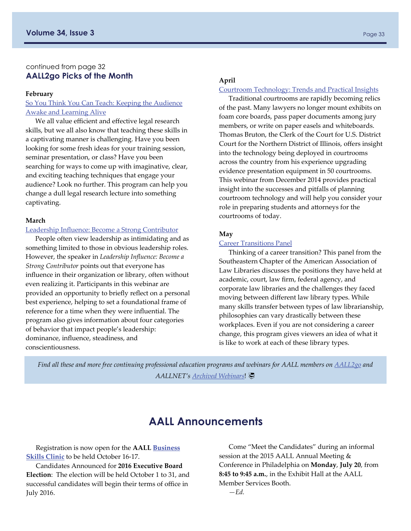#### continued from page 32 **AALL2go Picks of the Month**

#### **February**

#### So You Think You Can Teach: Keeping the [Audience](http://aall.sclivelearningcenter.com/index.aspx?PID=6278&SID=121500) Awake and [Learning](http://aall.sclivelearningcenter.com/index.aspx?PID=6278&SID=121500) Alive

We all value efficient and effective legal research skills, but we all also know that teaching these skills in a captivating manner is challenging. Have you been looking for some fresh ideas for your training session, seminar presentation, or class? Have you been searching for ways to come up with imaginative, clear, and exciting teaching techniques that engage your audience? Look no further. This program can help you change a dull legal research lecture into something captivating.

#### **March**

#### Leadership Influence: Become a Strong [Contributor](http://www.aallnet.org/mm/Education/webinars/2014/aallwebinar201404.html)

People often view leadership as intimidating and as something limited to those in obvious leadership roles. However, the speaker in *Leadership Influence: Become a Strong Contributor* points out that everyone has influence in their organization or library, often without even realizing it. Participants in this webinar are provided an opportunity to briefly reflect on a personal best experience, helping to set a foundational frame of reference for a time when they were influential. The program also gives information about four categories of behavior that impact people's leadership: dominance, influence, steadiness, and conscientiousness.

#### **April**

#### Courtroom [Technology:](http://www.aallnet.org/mm/Education/webinars/2014/aallwebinar201412.html) Trends and Practical Insights

Traditional courtrooms are rapidly becoming relics of the past. Many lawyers no longer mount exhibits on foam core boards, pass paper documents among jury members, or write on paper easels and whiteboards. Thomas Bruton, the Clerk of the Court for U.S. District Court for the Northern District of Illinois, offers insight into the technology being deployed in courtrooms across the country from his experience upgrading evidence presentation equipment in 50 courtrooms. This webinar from December 2014 provides practical insight into the successes and pitfalls of planning courtroom technology and will help you consider your role in preparing students and attorneys for the courtrooms of today.

#### **May**

#### Career [Transitions](http://community.aallnet.org/viewdocument/?DocumentKey=543b5a07-e309-4833-8629-e90ff245c224) Panel

Thinking of a career transition? This panel from the Southeastern Chapter of the American Association of Law Libraries discusses the positions they have held at academic, court, law firm, federal agency, and corporate law libraries and the challenges they faced moving between different law library types. While many skills transfer between types of law librarianship, philosophies can vary drastically between these workplaces. Even if you are not considering a career change, this program gives viewers an idea of what it is like to work at each of these library types.

*Find all these and more free continuing professional education programs and webinars for AALL members on [AALL2go](http://aall.sclivelearningcenter.com/index.aspx?PID=6277&SID=153782) and AALLNET's [Archived Webinars](http://www.aallnet.org/mm/Education/webinars)*!

# **AALL Announcements**

Registration is now open for the **AALL [Business](https://www.aallnet.org/assn/events/registration.aspx?event=2015bizskl) [Skills](https://www.aallnet.org/assn/events/registration.aspx?event=2015bizskl) Clinic** to be held October 16‐17.

Candidates Announced for **2016 Executive Board Election**: The election will be held October 1 to 31, and successful candidates will begin their terms of office in July 2016.

Come "Meet the Candidates" during an informal session at the 2015 AALL Annual Meeting & Conference in Philadelphia on **Monday**, **July 20**, from **8:45 to 9:45 a.m.**, in the Exhibit Hall at the AALL Member Services Booth.

*—Ed.*